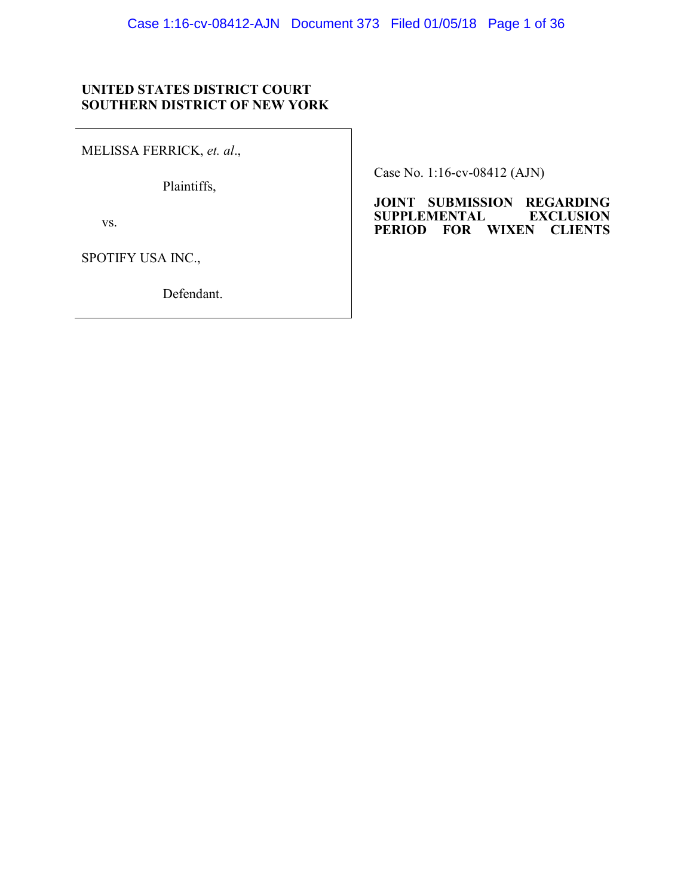## **UNITED STATES DISTRICT COURT SOUTHERN DISTRICT OF NEW YORK**

MELISSA FERRICK, *et. al*.,

Plaintiffs,

vs.

SPOTIFY USA INC.,

Defendant.

Case No. 1:16-cv-08412 (AJN)

**JOINT SUBMISSION REGARDING SUPPLEMENTAL PERIOD FOR WIXEN CLIENTS**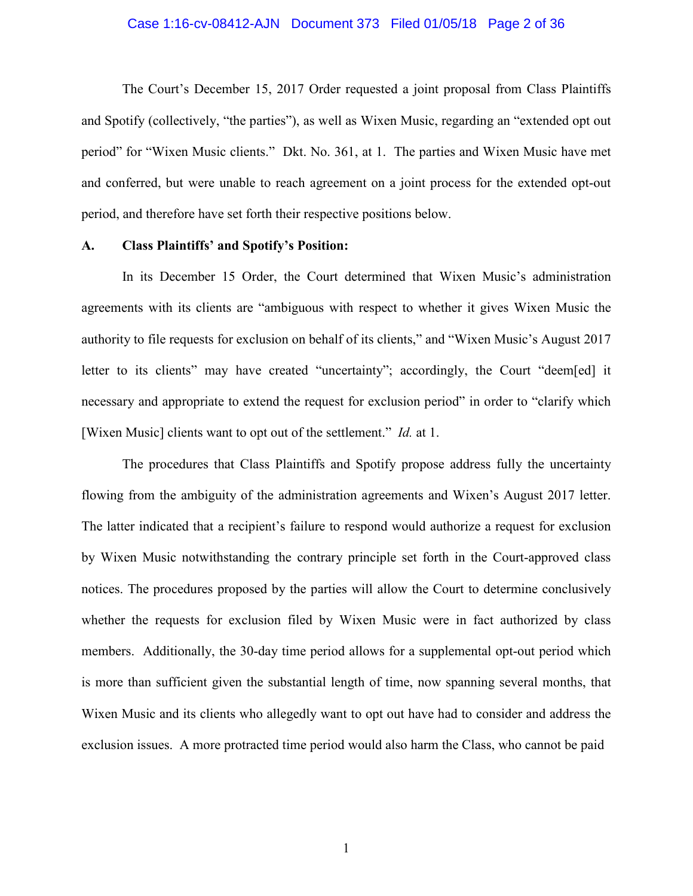#### Case 1:16-cv-08412-AJN Document 373 Filed 01/05/18 Page 2 of 36

The Court's December 15, 2017 Order requested a joint proposal from Class Plaintiffs and Spotify (collectively, "the parties"), as well as Wixen Music, regarding an "extended opt out period" for "Wixen Music clients." Dkt. No. 361, at 1. The parties and Wixen Music have met and conferred, but were unable to reach agreement on a joint process for the extended opt-out period, and therefore have set forth their respective positions below.

### **A. Class Plaintiffs' and Spotify's Position:**

In its December 15 Order, the Court determined that Wixen Music's administration agreements with its clients are "ambiguous with respect to whether it gives Wixen Music the authority to file requests for exclusion on behalf of its clients," and "Wixen Music's August 2017 letter to its clients" may have created "uncertainty"; accordingly, the Court "deem[ed] it necessary and appropriate to extend the request for exclusion period" in order to "clarify which [Wixen Music] clients want to opt out of the settlement." *Id.* at 1.

The procedures that Class Plaintiffs and Spotify propose address fully the uncertainty flowing from the ambiguity of the administration agreements and Wixen's August 2017 letter. The latter indicated that a recipient's failure to respond would authorize a request for exclusion by Wixen Music notwithstanding the contrary principle set forth in the Court-approved class notices. The procedures proposed by the parties will allow the Court to determine conclusively whether the requests for exclusion filed by Wixen Music were in fact authorized by class members. Additionally, the 30-day time period allows for a supplemental opt-out period which is more than sufficient given the substantial length of time, now spanning several months, that Wixen Music and its clients who allegedly want to opt out have had to consider and address the exclusion issues. A more protracted time period would also harm the Class, who cannot be paid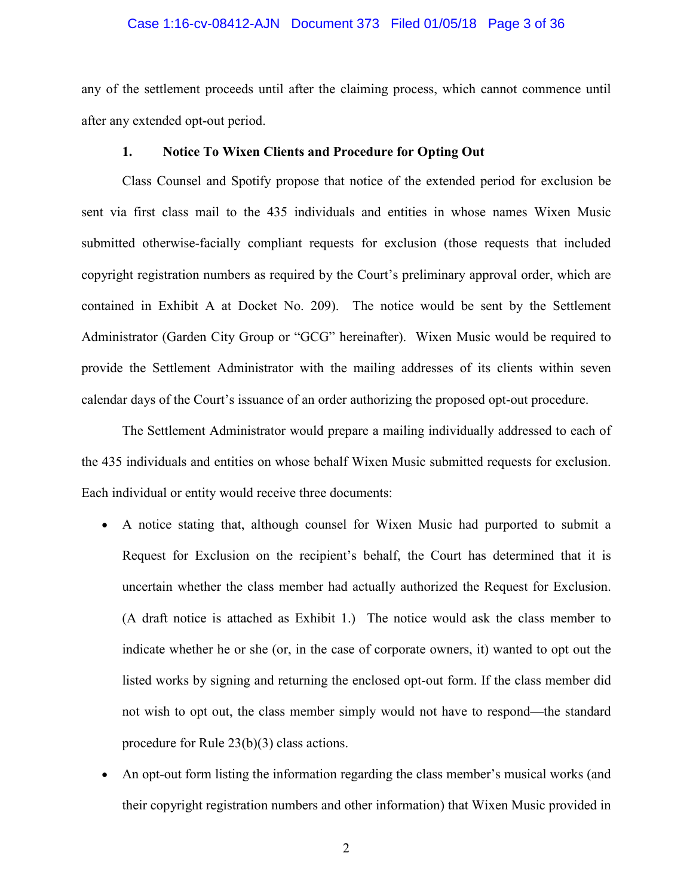### Case 1:16-cv-08412-AJN Document 373 Filed 01/05/18 Page 3 of 36

any of the settlement proceeds until after the claiming process, which cannot commence until after any extended opt-out period.

### **1. Notice To Wixen Clients and Procedure for Opting Out**

Class Counsel and Spotify propose that notice of the extended period for exclusion be sent via first class mail to the 435 individuals and entities in whose names Wixen Music submitted otherwise-facially compliant requests for exclusion (those requests that included copyright registration numbers as required by the Court's preliminary approval order, which are contained in Exhibit A at Docket No. 209). The notice would be sent by the Settlement Administrator (Garden City Group or "GCG" hereinafter). Wixen Music would be required to provide the Settlement Administrator with the mailing addresses of its clients within seven calendar days of the Court's issuance of an order authorizing the proposed opt-out procedure.

The Settlement Administrator would prepare a mailing individually addressed to each of the 435 individuals and entities on whose behalf Wixen Music submitted requests for exclusion. Each individual or entity would receive three documents:

- A notice stating that, although counsel for Wixen Music had purported to submit a Request for Exclusion on the recipient's behalf, the Court has determined that it is uncertain whether the class member had actually authorized the Request for Exclusion. (A draft notice is attached as Exhibit 1.) The notice would ask the class member to indicate whether he or she (or, in the case of corporate owners, it) wanted to opt out the listed works by signing and returning the enclosed opt-out form. If the class member did not wish to opt out, the class member simply would not have to respond—the standard procedure for Rule 23(b)(3) class actions.
- An opt-out form listing the information regarding the class member's musical works (and their copyright registration numbers and other information) that Wixen Music provided in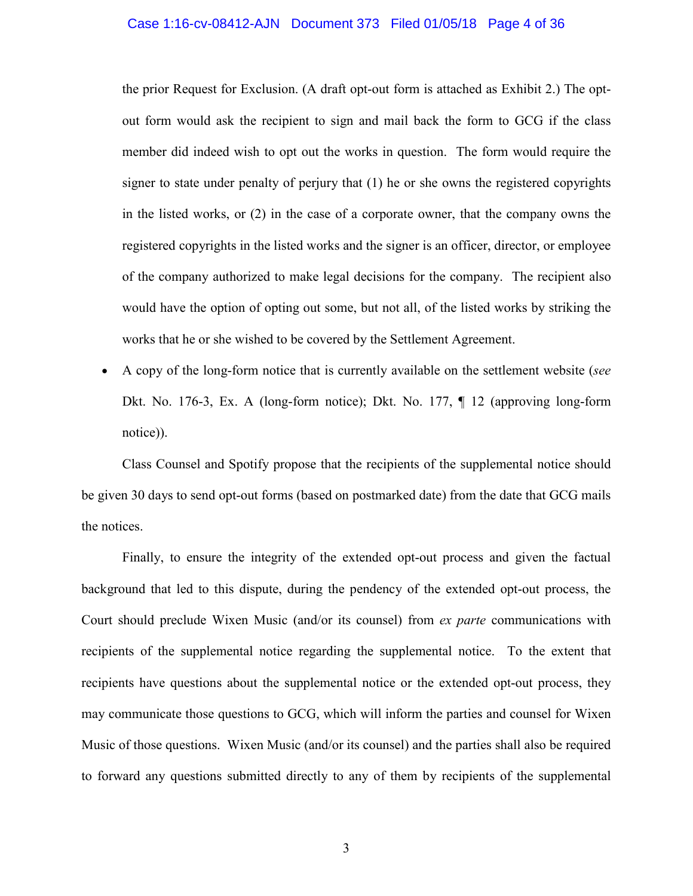#### Case 1:16-cv-08412-AJN Document 373 Filed 01/05/18 Page 4 of 36

the prior Request for Exclusion. (A draft opt-out form is attached as Exhibit 2.) The optout form would ask the recipient to sign and mail back the form to GCG if the class member did indeed wish to opt out the works in question. The form would require the signer to state under penalty of perjury that (1) he or she owns the registered copyrights in the listed works, or (2) in the case of a corporate owner, that the company owns the registered copyrights in the listed works and the signer is an officer, director, or employee of the company authorized to make legal decisions for the company. The recipient also would have the option of opting out some, but not all, of the listed works by striking the works that he or she wished to be covered by the Settlement Agreement.

• A copy of the long-form notice that is currently available on the settlement website (*see* Dkt. No. 176-3, Ex. A (long-form notice); Dkt. No. 177, ¶ 12 (approving long-form notice)).

Class Counsel and Spotify propose that the recipients of the supplemental notice should be given 30 days to send opt-out forms (based on postmarked date) from the date that GCG mails the notices.

Finally, to ensure the integrity of the extended opt-out process and given the factual background that led to this dispute, during the pendency of the extended opt-out process, the Court should preclude Wixen Music (and/or its counsel) from *ex parte* communications with recipients of the supplemental notice regarding the supplemental notice. To the extent that recipients have questions about the supplemental notice or the extended opt-out process, they may communicate those questions to GCG, which will inform the parties and counsel for Wixen Music of those questions. Wixen Music (and/or its counsel) and the parties shall also be required to forward any questions submitted directly to any of them by recipients of the supplemental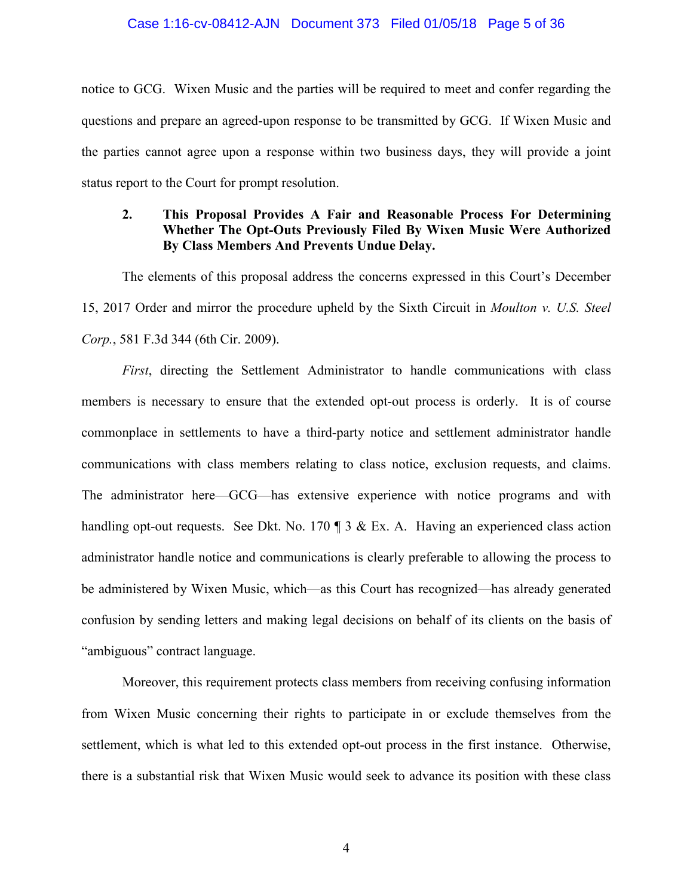### Case 1:16-cv-08412-AJN Document 373 Filed 01/05/18 Page 5 of 36

notice to GCG. Wixen Music and the parties will be required to meet and confer regarding the questions and prepare an agreed-upon response to be transmitted by GCG. If Wixen Music and the parties cannot agree upon a response within two business days, they will provide a joint status report to the Court for prompt resolution.

## **2. This Proposal Provides A Fair and Reasonable Process For Determining Whether The Opt-Outs Previously Filed By Wixen Music Were Authorized By Class Members And Prevents Undue Delay.**

The elements of this proposal address the concerns expressed in this Court's December 15, 2017 Order and mirror the procedure upheld by the Sixth Circuit in *Moulton v. U.S. Steel Corp.*, 581 F.3d 344 (6th Cir. 2009).

*First*, directing the Settlement Administrator to handle communications with class members is necessary to ensure that the extended opt-out process is orderly. It is of course commonplace in settlements to have a third-party notice and settlement administrator handle communications with class members relating to class notice, exclusion requests, and claims. The administrator here—GCG—has extensive experience with notice programs and with handling opt-out requests. See Dkt. No. 170 ¶ 3 & Ex. A. Having an experienced class action administrator handle notice and communications is clearly preferable to allowing the process to be administered by Wixen Music, which—as this Court has recognized—has already generated confusion by sending letters and making legal decisions on behalf of its clients on the basis of "ambiguous" contract language.

Moreover, this requirement protects class members from receiving confusing information from Wixen Music concerning their rights to participate in or exclude themselves from the settlement, which is what led to this extended opt-out process in the first instance. Otherwise, there is a substantial risk that Wixen Music would seek to advance its position with these class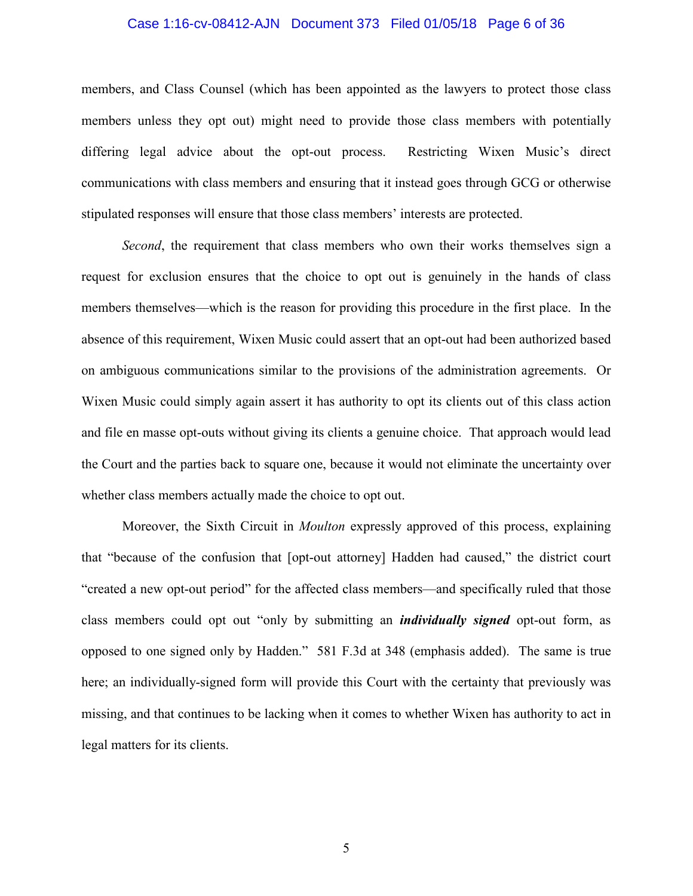### Case 1:16-cv-08412-AJN Document 373 Filed 01/05/18 Page 6 of 36

members, and Class Counsel (which has been appointed as the lawyers to protect those class members unless they opt out) might need to provide those class members with potentially differing legal advice about the opt-out process. Restricting Wixen Music's direct communications with class members and ensuring that it instead goes through GCG or otherwise stipulated responses will ensure that those class members' interests are protected.

*Second*, the requirement that class members who own their works themselves sign a request for exclusion ensures that the choice to opt out is genuinely in the hands of class members themselves—which is the reason for providing this procedure in the first place. In the absence of this requirement, Wixen Music could assert that an opt-out had been authorized based on ambiguous communications similar to the provisions of the administration agreements. Or Wixen Music could simply again assert it has authority to opt its clients out of this class action and file en masse opt-outs without giving its clients a genuine choice. That approach would lead the Court and the parties back to square one, because it would not eliminate the uncertainty over whether class members actually made the choice to opt out.

Moreover, the Sixth Circuit in *Moulton* expressly approved of this process, explaining that "because of the confusion that [opt-out attorney] Hadden had caused," the district court "created a new opt-out period" for the affected class members—and specifically ruled that those class members could opt out "only by submitting an *individually signed* opt-out form, as opposed to one signed only by Hadden." 581 F.3d at 348 (emphasis added). The same is true here; an individually-signed form will provide this Court with the certainty that previously was missing, and that continues to be lacking when it comes to whether Wixen has authority to act in legal matters for its clients.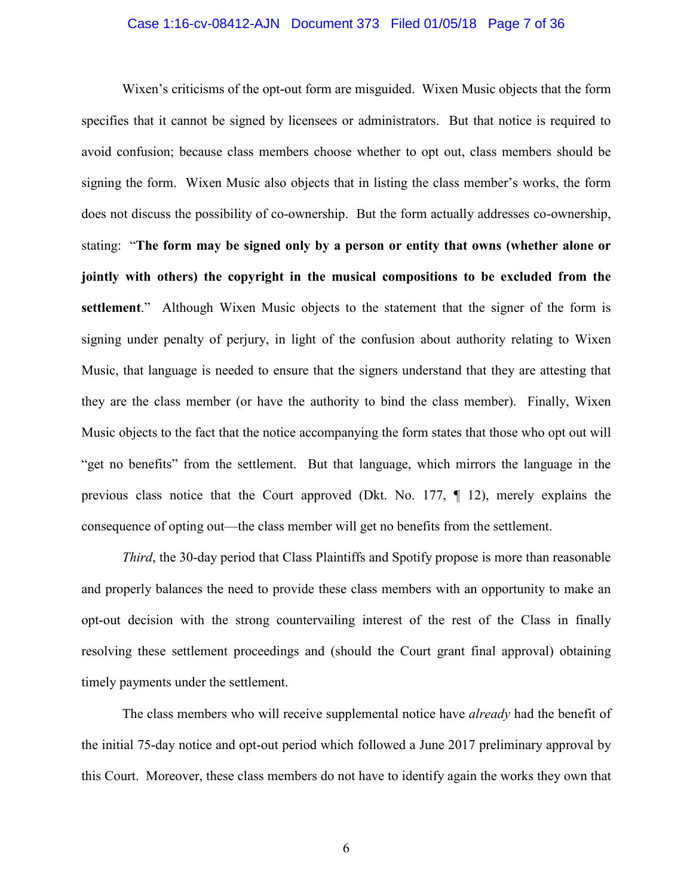### Case 1:16-cv-08412-AJN Document 373 Filed 01/05/18 Page 7 of 36

Wixen's criticisms of the opt-out form are misguided. Wixen Music objects that the form specifies that it cannot be signed by licensees or administrators. But that notice is required to avoid confusion; because class members choose whether to opt out, class members should be signing the form. Wixen Music also objects that in listing the class member's works, the form does not discuss the possibility of co-ownership. But the form actually addresses co-ownership, stating: "**The form may be signed only by a person or entity that owns (whether alone or jointly with others) the copyright in the musical compositions to be excluded from the settlement**." Although Wixen Music objects to the statement that the signer of the form is signing under penalty of perjury, in light of the confusion about authority relating to Wixen Music, that language is needed to ensure that the signers understand that they are attesting that they are the class member (or have the authority to bind the class member). Finally, Wixen Music objects to the fact that the notice accompanying the form states that those who opt out will "get no benefits" from the settlement. But that language, which mirrors the language in the previous class notice that the Court approved (Dkt. No. 177, ¶ 12), merely explains the consequence of opting out—the class member will get no benefits from the settlement.

*Third*, the 30-day period that Class Plaintiffs and Spotify propose is more than reasonable and properly balances the need to provide these class members with an opportunity to make an opt-out decision with the strong countervailing interest of the rest of the Class in finally resolving these settlement proceedings and (should the Court grant final approval) obtaining timely payments under the settlement.

The class members who will receive supplemental notice have *already* had the benefit of the initial 75-day notice and opt-out period which followed a June 2017 preliminary approval by this Court. Moreover, these class members do not have to identify again the works they own that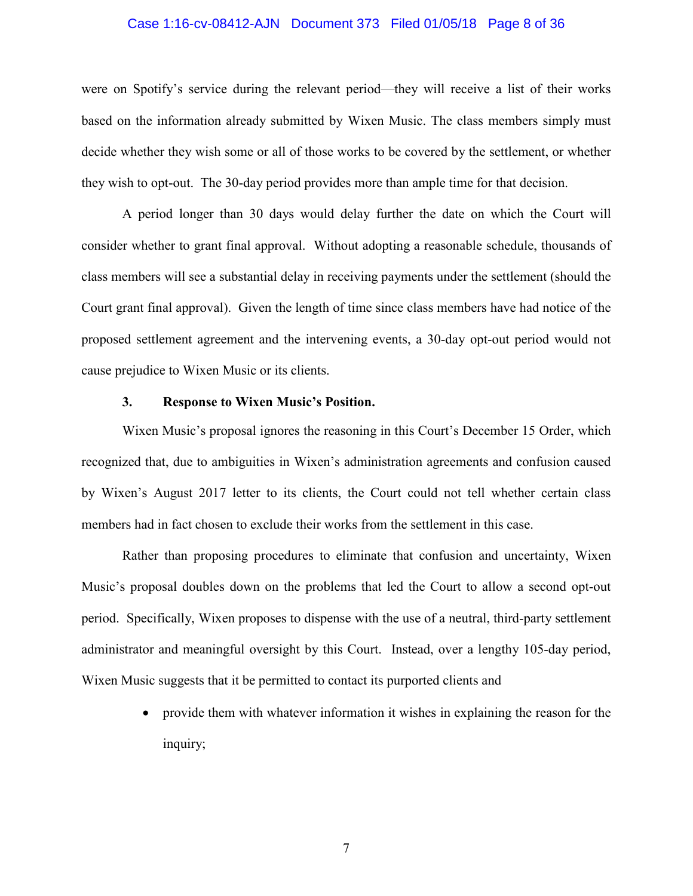### Case 1:16-cv-08412-AJN Document 373 Filed 01/05/18 Page 8 of 36

were on Spotify's service during the relevant period—they will receive a list of their works based on the information already submitted by Wixen Music. The class members simply must decide whether they wish some or all of those works to be covered by the settlement, or whether they wish to opt-out. The 30-day period provides more than ample time for that decision.

A period longer than 30 days would delay further the date on which the Court will consider whether to grant final approval. Without adopting a reasonable schedule, thousands of class members will see a substantial delay in receiving payments under the settlement (should the Court grant final approval). Given the length of time since class members have had notice of the proposed settlement agreement and the intervening events, a 30-day opt-out period would not cause prejudice to Wixen Music or its clients.

### **3. Response to Wixen Music's Position.**

Wixen Music's proposal ignores the reasoning in this Court's December 15 Order, which recognized that, due to ambiguities in Wixen's administration agreements and confusion caused by Wixen's August 2017 letter to its clients, the Court could not tell whether certain class members had in fact chosen to exclude their works from the settlement in this case.

Rather than proposing procedures to eliminate that confusion and uncertainty, Wixen Music's proposal doubles down on the problems that led the Court to allow a second opt-out period. Specifically, Wixen proposes to dispense with the use of a neutral, third-party settlement administrator and meaningful oversight by this Court. Instead, over a lengthy 105-day period, Wixen Music suggests that it be permitted to contact its purported clients and

> • provide them with whatever information it wishes in explaining the reason for the inquiry;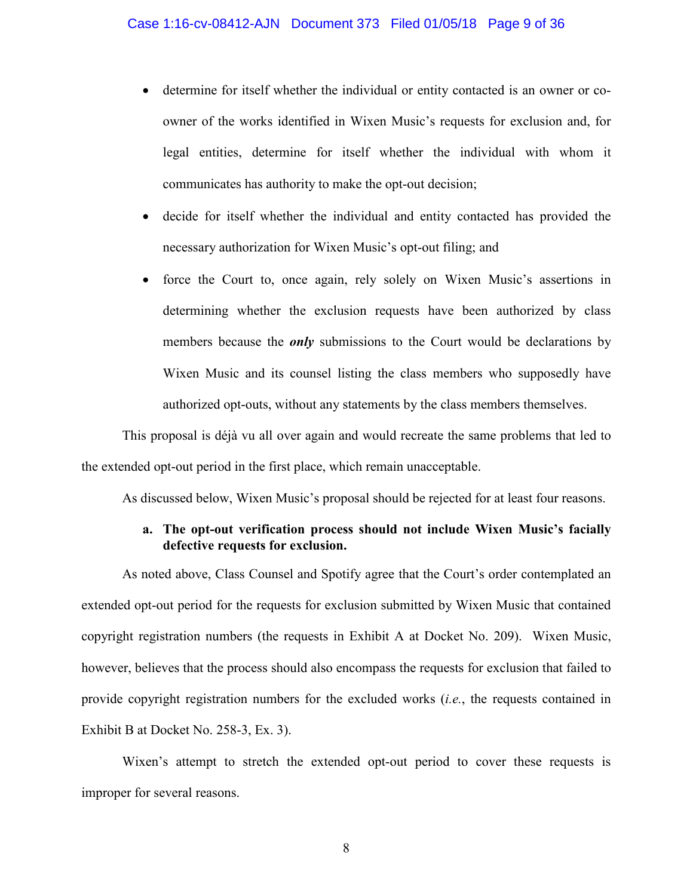- determine for itself whether the individual or entity contacted is an owner or coowner of the works identified in Wixen Music's requests for exclusion and, for legal entities, determine for itself whether the individual with whom it communicates has authority to make the opt-out decision;
- decide for itself whether the individual and entity contacted has provided the necessary authorization for Wixen Music's opt-out filing; and
- force the Court to, once again, rely solely on Wixen Music's assertions in determining whether the exclusion requests have been authorized by class members because the *only* submissions to the Court would be declarations by Wixen Music and its counsel listing the class members who supposedly have authorized opt-outs, without any statements by the class members themselves.

This proposal is déjà vu all over again and would recreate the same problems that led to the extended opt-out period in the first place, which remain unacceptable.

As discussed below, Wixen Music's proposal should be rejected for at least four reasons.

## **a. The opt-out verification process should not include Wixen Music's facially defective requests for exclusion.**

As noted above, Class Counsel and Spotify agree that the Court's order contemplated an extended opt-out period for the requests for exclusion submitted by Wixen Music that contained copyright registration numbers (the requests in Exhibit A at Docket No. 209). Wixen Music, however, believes that the process should also encompass the requests for exclusion that failed to provide copyright registration numbers for the excluded works (*i.e.*, the requests contained in Exhibit B at Docket No. 258-3, Ex. 3).

Wixen's attempt to stretch the extended opt-out period to cover these requests is improper for several reasons.

8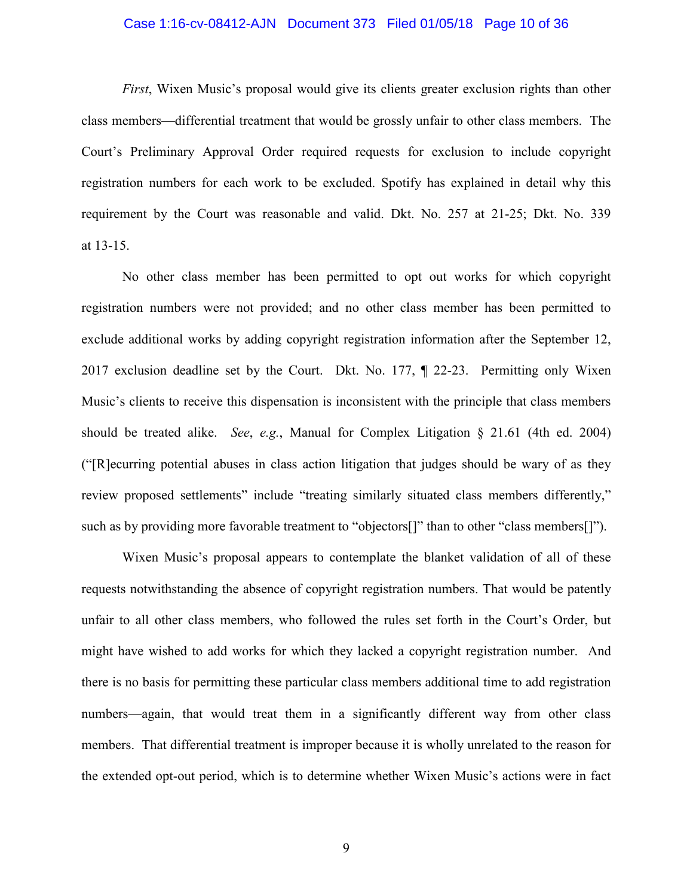### Case 1:16-cv-08412-AJN Document 373 Filed 01/05/18 Page 10 of 36

*First*, Wixen Music's proposal would give its clients greater exclusion rights than other class members—differential treatment that would be grossly unfair to other class members. The Court's Preliminary Approval Order required requests for exclusion to include copyright registration numbers for each work to be excluded. Spotify has explained in detail why this requirement by the Court was reasonable and valid. Dkt. No. 257 at 21-25; Dkt. No. 339 at 13-15.

No other class member has been permitted to opt out works for which copyright registration numbers were not provided; and no other class member has been permitted to exclude additional works by adding copyright registration information after the September 12, 2017 exclusion deadline set by the Court. Dkt. No. 177, ¶ 22-23. Permitting only Wixen Music's clients to receive this dispensation is inconsistent with the principle that class members should be treated alike. *See*, *e.g.*, Manual for Complex Litigation § 21.61 (4th ed. 2004) ("[R]ecurring potential abuses in class action litigation that judges should be wary of as they review proposed settlements" include "treating similarly situated class members differently," such as by providing more favorable treatment to "objectors<sup>[]"</sup> than to other "class members<sup>[]"</sup>).

Wixen Music's proposal appears to contemplate the blanket validation of all of these requests notwithstanding the absence of copyright registration numbers. That would be patently unfair to all other class members, who followed the rules set forth in the Court's Order, but might have wished to add works for which they lacked a copyright registration number. And there is no basis for permitting these particular class members additional time to add registration numbers—again, that would treat them in a significantly different way from other class members. That differential treatment is improper because it is wholly unrelated to the reason for the extended opt-out period, which is to determine whether Wixen Music's actions were in fact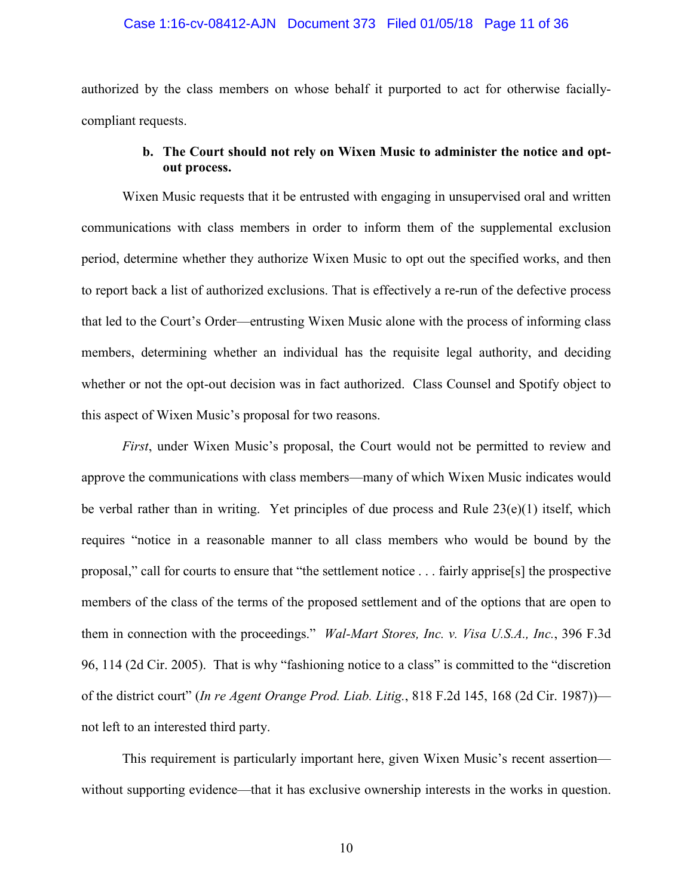# Case 1:16-cv-08412-AJN Document 373 Filed 01/05/18 Page 11 of 36

authorized by the class members on whose behalf it purported to act for otherwise faciallycompliant requests.

## **b. The Court should not rely on Wixen Music to administer the notice and optout process.**

Wixen Music requests that it be entrusted with engaging in unsupervised oral and written communications with class members in order to inform them of the supplemental exclusion period, determine whether they authorize Wixen Music to opt out the specified works, and then to report back a list of authorized exclusions. That is effectively a re-run of the defective process that led to the Court's Order—entrusting Wixen Music alone with the process of informing class members, determining whether an individual has the requisite legal authority, and deciding whether or not the opt-out decision was in fact authorized. Class Counsel and Spotify object to this aspect of Wixen Music's proposal for two reasons.

*First*, under Wixen Music's proposal, the Court would not be permitted to review and approve the communications with class members—many of which Wixen Music indicates would be verbal rather than in writing. Yet principles of due process and Rule 23(e)(1) itself, which requires "notice in a reasonable manner to all class members who would be bound by the proposal," call for courts to ensure that "the settlement notice . . . fairly apprise[s] the prospective members of the class of the terms of the proposed settlement and of the options that are open to them in connection with the proceedings." *Wal-Mart Stores, Inc. v. Visa U.S.A., Inc.*, 396 F.3d 96, 114 (2d Cir. 2005). That is why "fashioning notice to a class" is committed to the "discretion of the district court" (*In re Agent Orange Prod. Liab. Litig.*, 818 F.2d 145, 168 (2d Cir. 1987)) not left to an interested third party.

This requirement is particularly important here, given Wixen Music's recent assertion without supporting evidence—that it has exclusive ownership interests in the works in question.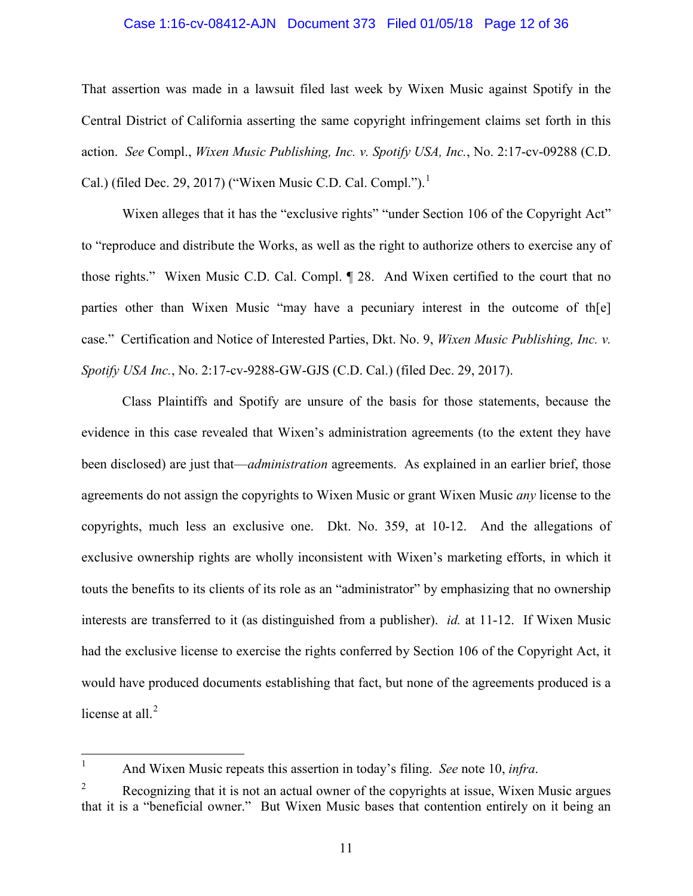# Case 1:16-cv-08412-AJN Document 373 Filed 01/05/18 Page 12 of 36

That assertion was made in a lawsuit filed last week by Wixen Music against Spotify in the Central District of California asserting the same copyright infringement claims set forth in this action. *See* Compl., *Wixen Music Publishing, Inc. v. Spotify USA, Inc.*, No. 2:17-cv-09288 (C.D. Cal.) (filed Dec. 29, 20[1](#page-11-0)7) ("Wixen Music C.D. Cal. Compl."). $^1$ 

Wixen alleges that it has the "exclusive rights" "under Section 106 of the Copyright Act" to "reproduce and distribute the Works, as well as the right to authorize others to exercise any of those rights." Wixen Music C.D. Cal. Compl. ¶ 28. And Wixen certified to the court that no parties other than Wixen Music "may have a pecuniary interest in the outcome of th[e] case." Certification and Notice of Interested Parties, Dkt. No. 9, *Wixen Music Publishing, Inc. v. Spotify USA Inc.*, No. 2:17-cv-9288-GW-GJS (C.D. Cal.) (filed Dec. 29, 2017).

Class Plaintiffs and Spotify are unsure of the basis for those statements, because the evidence in this case revealed that Wixen's administration agreements (to the extent they have been disclosed) are just that—*administration* agreements. As explained in an earlier brief, those agreements do not assign the copyrights to Wixen Music or grant Wixen Music *any* license to the copyrights, much less an exclusive one. Dkt. No. 359, at 10-12. And the allegations of exclusive ownership rights are wholly inconsistent with Wixen's marketing efforts, in which it touts the benefits to its clients of its role as an "administrator" by emphasizing that no ownership interests are transferred to it (as distinguished from a publisher). *id.* at 11-12. If Wixen Music had the exclusive license to exercise the rights conferred by Section 106 of the Copyright Act, it would have produced documents establishing that fact, but none of the agreements produced is a license at all. $2$ 

 $\frac{1}{1}$ And Wixen Music repeats this assertion in today's filing. *See* note 10, *infra*.

<span id="page-11-1"></span><span id="page-11-0"></span><sup>2</sup> Recognizing that it is not an actual owner of the copyrights at issue, Wixen Music argues that it is a "beneficial owner." But Wixen Music bases that contention entirely on it being an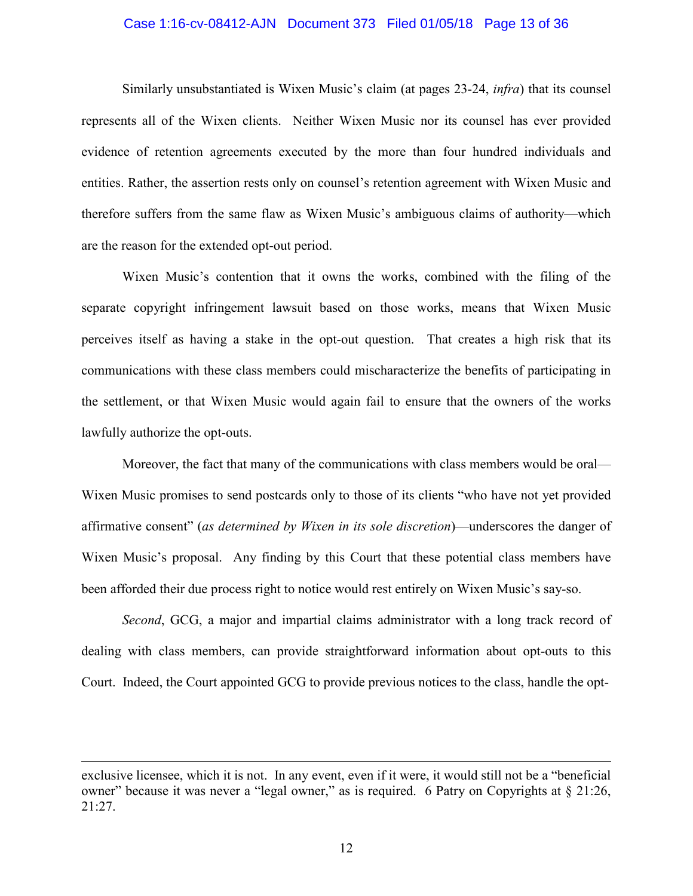### Case 1:16-cv-08412-AJN Document 373 Filed 01/05/18 Page 13 of 36

Similarly unsubstantiated is Wixen Music's claim (at pages 23-24, *infra*) that its counsel represents all of the Wixen clients. Neither Wixen Music nor its counsel has ever provided evidence of retention agreements executed by the more than four hundred individuals and entities. Rather, the assertion rests only on counsel's retention agreement with Wixen Music and therefore suffers from the same flaw as Wixen Music's ambiguous claims of authority—which are the reason for the extended opt-out period.

Wixen Music's contention that it owns the works, combined with the filing of the separate copyright infringement lawsuit based on those works, means that Wixen Music perceives itself as having a stake in the opt-out question. That creates a high risk that its communications with these class members could mischaracterize the benefits of participating in the settlement, or that Wixen Music would again fail to ensure that the owners of the works lawfully authorize the opt-outs.

Moreover, the fact that many of the communications with class members would be oral— Wixen Music promises to send postcards only to those of its clients "who have not yet provided affirmative consent" (*as determined by Wixen in its sole discretion*)—underscores the danger of Wixen Music's proposal. Any finding by this Court that these potential class members have been afforded their due process right to notice would rest entirely on Wixen Music's say-so.

*Second*, GCG, a major and impartial claims administrator with a long track record of dealing with class members, can provide straightforward information about opt-outs to this Court. Indeed, the Court appointed GCG to provide previous notices to the class, handle the opt-

 $\overline{a}$ 

exclusive licensee, which it is not. In any event, even if it were, it would still not be a "beneficial owner" because it was never a "legal owner," as is required. 6 Patry on Copyrights at § 21:26, 21:27.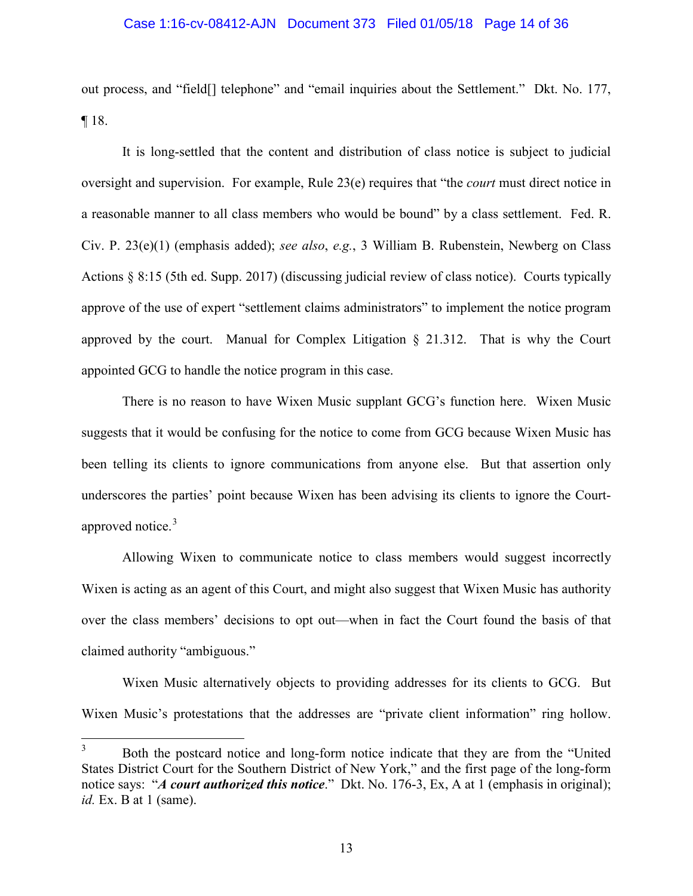# Case 1:16-cv-08412-AJN Document 373 Filed 01/05/18 Page 14 of 36

out process, and "field[] telephone" and "email inquiries about the Settlement." Dkt. No. 177, ¶ 18.

It is long-settled that the content and distribution of class notice is subject to judicial oversight and supervision. For example, Rule 23(e) requires that "the *court* must direct notice in a reasonable manner to all class members who would be bound" by a class settlement. Fed. R. Civ. P. 23(e)(1) (emphasis added); *see also*, *e.g.*, 3 William B. Rubenstein, Newberg on Class Actions § 8:15 (5th ed. Supp. 2017) (discussing judicial review of class notice). Courts typically approve of the use of expert "settlement claims administrators" to implement the notice program approved by the court. Manual for Complex Litigation § 21.312. That is why the Court appointed GCG to handle the notice program in this case.

There is no reason to have Wixen Music supplant GCG's function here. Wixen Music suggests that it would be confusing for the notice to come from GCG because Wixen Music has been telling its clients to ignore communications from anyone else. But that assertion only underscores the parties' point because Wixen has been advising its clients to ignore the Court-approved notice.<sup>[3](#page-13-0)</sup>

Allowing Wixen to communicate notice to class members would suggest incorrectly Wixen is acting as an agent of this Court, and might also suggest that Wixen Music has authority over the class members' decisions to opt out—when in fact the Court found the basis of that claimed authority "ambiguous."

Wixen Music alternatively objects to providing addresses for its clients to GCG. But Wixen Music's protestations that the addresses are "private client information" ring hollow.

<span id="page-13-0"></span> 3 Both the postcard notice and long-form notice indicate that they are from the "United States District Court for the Southern District of New York," and the first page of the long-form notice says: "*A court authorized this notice*." Dkt. No. 176-3, Ex, A at 1 (emphasis in original); *id.* Ex. B at 1 (same).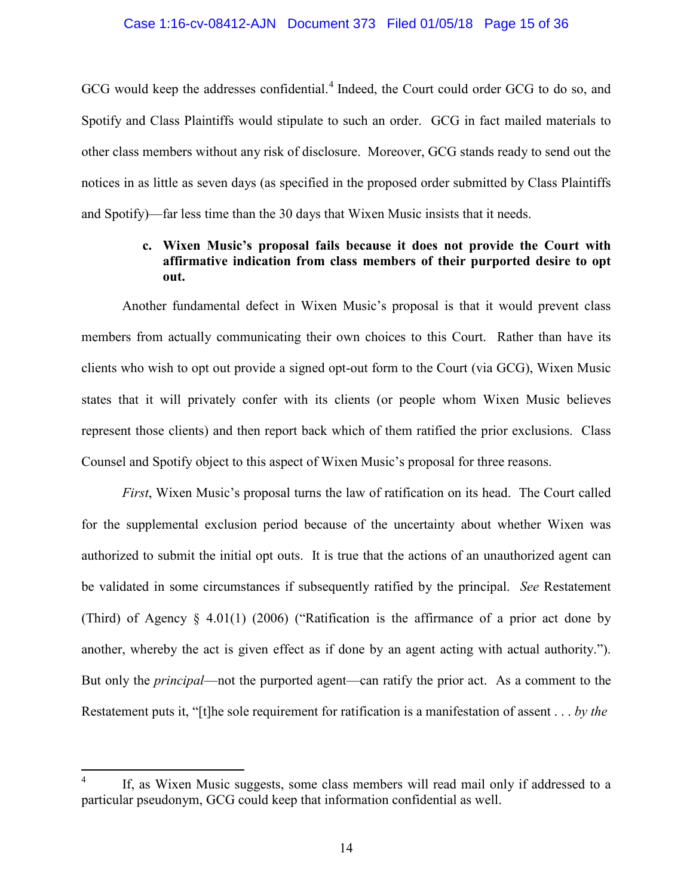### Case 1:16-cv-08412-AJN Document 373 Filed 01/05/18 Page 15 of 36

GCG would keep the addresses confidential.<sup>[4](#page-14-0)</sup> Indeed, the Court could order GCG to do so, and Spotify and Class Plaintiffs would stipulate to such an order. GCG in fact mailed materials to other class members without any risk of disclosure. Moreover, GCG stands ready to send out the notices in as little as seven days (as specified in the proposed order submitted by Class Plaintiffs and Spotify)—far less time than the 30 days that Wixen Music insists that it needs.

## **c. Wixen Music's proposal fails because it does not provide the Court with affirmative indication from class members of their purported desire to opt out.**

Another fundamental defect in Wixen Music's proposal is that it would prevent class members from actually communicating their own choices to this Court. Rather than have its clients who wish to opt out provide a signed opt-out form to the Court (via GCG), Wixen Music states that it will privately confer with its clients (or people whom Wixen Music believes represent those clients) and then report back which of them ratified the prior exclusions. Class Counsel and Spotify object to this aspect of Wixen Music's proposal for three reasons.

*First*, Wixen Music's proposal turns the law of ratification on its head. The Court called for the supplemental exclusion period because of the uncertainty about whether Wixen was authorized to submit the initial opt outs. It is true that the actions of an unauthorized agent can be validated in some circumstances if subsequently ratified by the principal. *See* Restatement (Third) of Agency § 4.01(1) (2006) ("Ratification is the affirmance of a prior act done by another, whereby the act is given effect as if done by an agent acting with actual authority."). But only the *principal*—not the purported agent—can ratify the prior act. As a comment to the Restatement puts it, "[t]he sole requirement for ratification is a manifestation of assent . . . *by the* 

 $\overline{a}$ 

<span id="page-14-0"></span><sup>4</sup> If, as Wixen Music suggests, some class members will read mail only if addressed to a particular pseudonym, GCG could keep that information confidential as well.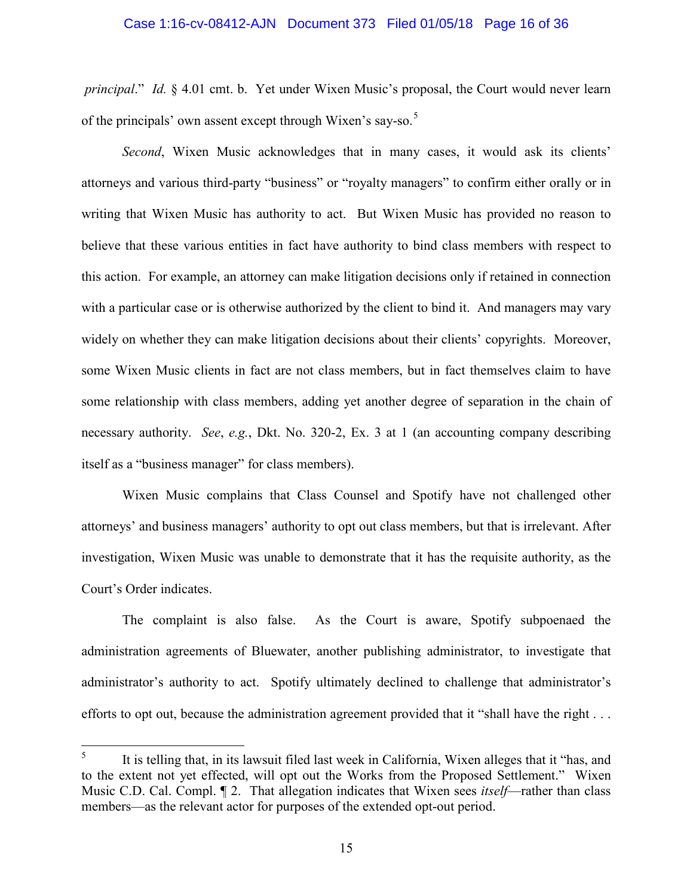### Case 1:16-cv-08412-AJN Document 373 Filed 01/05/18 Page 16 of 36

 *principal*." *Id.* § 4.01 cmt. b. Yet under Wixen Music's proposal, the Court would never learn of the principals' own assent except through Wixen's say-so.<sup>[5](#page-15-0)</sup>

*Second*, Wixen Music acknowledges that in many cases, it would ask its clients' attorneys and various third-party "business" or "royalty managers" to confirm either orally or in writing that Wixen Music has authority to act. But Wixen Music has provided no reason to believe that these various entities in fact have authority to bind class members with respect to this action. For example, an attorney can make litigation decisions only if retained in connection with a particular case or is otherwise authorized by the client to bind it. And managers may vary widely on whether they can make litigation decisions about their clients' copyrights. Moreover, some Wixen Music clients in fact are not class members, but in fact themselves claim to have some relationship with class members, adding yet another degree of separation in the chain of necessary authority. *See*, *e.g.*, Dkt. No. 320-2, Ex. 3 at 1 (an accounting company describing itself as a "business manager" for class members).

Wixen Music complains that Class Counsel and Spotify have not challenged other attorneys' and business managers' authority to opt out class members, but that is irrelevant. After investigation, Wixen Music was unable to demonstrate that it has the requisite authority, as the Court's Order indicates.

The complaint is also false. As the Court is aware, Spotify subpoenaed the administration agreements of Bluewater, another publishing administrator, to investigate that administrator's authority to act. Spotify ultimately declined to challenge that administrator's efforts to opt out, because the administration agreement provided that it "shall have the right . . .

<span id="page-15-0"></span> 5 It is telling that, in its lawsuit filed last week in California, Wixen alleges that it "has, and to the extent not yet effected, will opt out the Works from the Proposed Settlement." Wixen Music C.D. Cal. Compl. ¶ 2. That allegation indicates that Wixen sees *itself*—rather than class members—as the relevant actor for purposes of the extended opt-out period.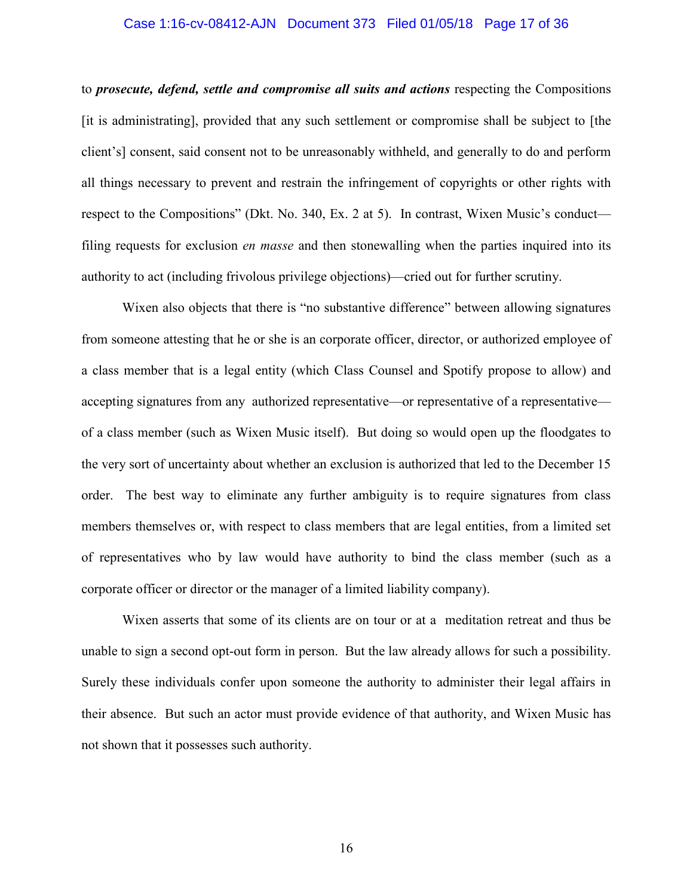### Case 1:16-cv-08412-AJN Document 373 Filed 01/05/18 Page 17 of 36

to *prosecute, defend, settle and compromise all suits and actions* respecting the Compositions [it is administrating], provided that any such settlement or compromise shall be subject to [the client's] consent, said consent not to be unreasonably withheld, and generally to do and perform all things necessary to prevent and restrain the infringement of copyrights or other rights with respect to the Compositions" (Dkt. No. 340, Ex. 2 at 5). In contrast, Wixen Music's conduct filing requests for exclusion *en masse* and then stonewalling when the parties inquired into its authority to act (including frivolous privilege objections)—cried out for further scrutiny.

Wixen also objects that there is "no substantive difference" between allowing signatures from someone attesting that he or she is an corporate officer, director, or authorized employee of a class member that is a legal entity (which Class Counsel and Spotify propose to allow) and accepting signatures from any authorized representative—or representative of a representative of a class member (such as Wixen Music itself). But doing so would open up the floodgates to the very sort of uncertainty about whether an exclusion is authorized that led to the December 15 order. The best way to eliminate any further ambiguity is to require signatures from class members themselves or, with respect to class members that are legal entities, from a limited set of representatives who by law would have authority to bind the class member (such as a corporate officer or director or the manager of a limited liability company).

Wixen asserts that some of its clients are on tour or at a meditation retreat and thus be unable to sign a second opt-out form in person. But the law already allows for such a possibility. Surely these individuals confer upon someone the authority to administer their legal affairs in their absence. But such an actor must provide evidence of that authority, and Wixen Music has not shown that it possesses such authority.

16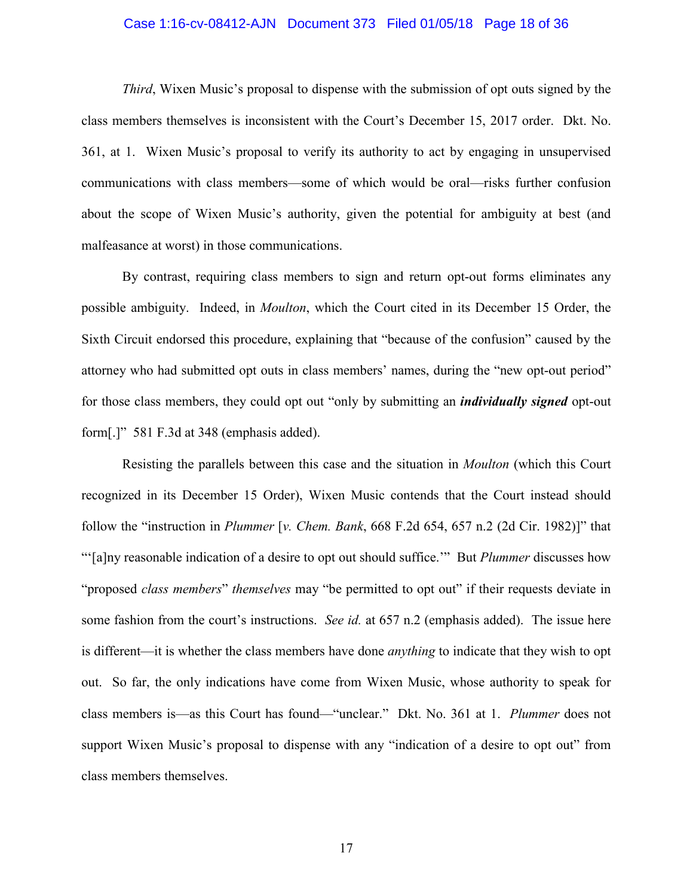### Case 1:16-cv-08412-AJN Document 373 Filed 01/05/18 Page 18 of 36

*Third*, Wixen Music's proposal to dispense with the submission of opt outs signed by the class members themselves is inconsistent with the Court's December 15, 2017 order. Dkt. No. 361, at 1. Wixen Music's proposal to verify its authority to act by engaging in unsupervised communications with class members—some of which would be oral—risks further confusion about the scope of Wixen Music's authority, given the potential for ambiguity at best (and malfeasance at worst) in those communications.

By contrast, requiring class members to sign and return opt-out forms eliminates any possible ambiguity. Indeed, in *Moulton*, which the Court cited in its December 15 Order, the Sixth Circuit endorsed this procedure, explaining that "because of the confusion" caused by the attorney who had submitted opt outs in class members' names, during the "new opt-out period" for those class members, they could opt out "only by submitting an *individually signed* opt-out form[.]" 581 F.3d at 348 (emphasis added).

Resisting the parallels between this case and the situation in *Moulton* (which this Court recognized in its December 15 Order), Wixen Music contends that the Court instead should follow the "instruction in *Plummer* [*v. Chem. Bank*, 668 F.2d 654, 657 n.2 (2d Cir. 1982)]" that "'[a]ny reasonable indication of a desire to opt out should suffice.'" But *Plummer* discusses how "proposed *class members*" *themselves* may "be permitted to opt out" if their requests deviate in some fashion from the court's instructions. *See id.* at 657 n.2 (emphasis added). The issue here is different—it is whether the class members have done *anything* to indicate that they wish to opt out. So far, the only indications have come from Wixen Music, whose authority to speak for class members is—as this Court has found—"unclear." Dkt. No. 361 at 1. *Plummer* does not support Wixen Music's proposal to dispense with any "indication of a desire to opt out" from class members themselves.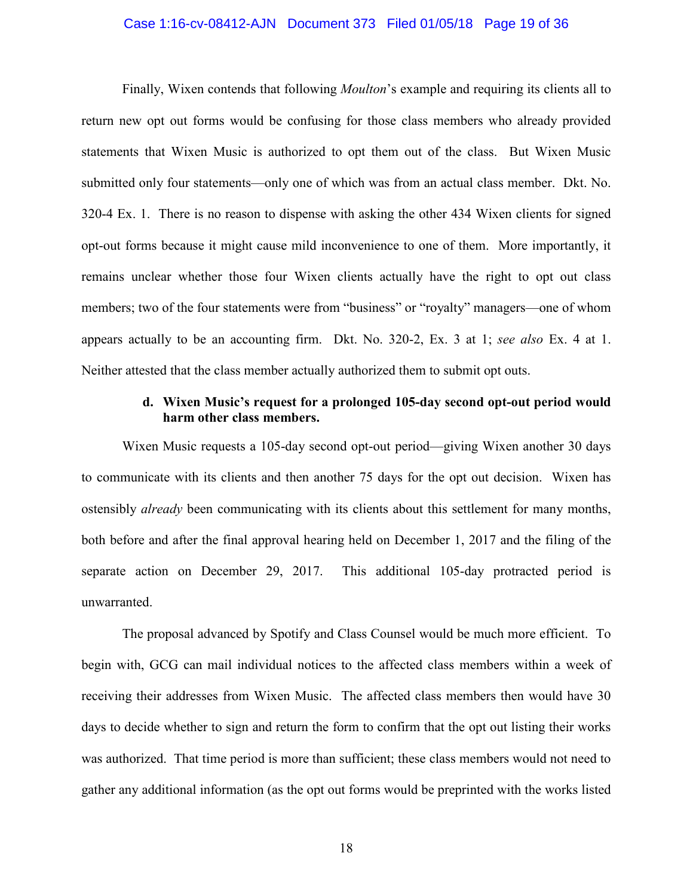### Case 1:16-cv-08412-AJN Document 373 Filed 01/05/18 Page 19 of 36

Finally, Wixen contends that following *Moulton*'s example and requiring its clients all to return new opt out forms would be confusing for those class members who already provided statements that Wixen Music is authorized to opt them out of the class. But Wixen Music submitted only four statements—only one of which was from an actual class member. Dkt. No. 320-4 Ex. 1. There is no reason to dispense with asking the other 434 Wixen clients for signed opt-out forms because it might cause mild inconvenience to one of them. More importantly, it remains unclear whether those four Wixen clients actually have the right to opt out class members; two of the four statements were from "business" or "royalty" managers—one of whom appears actually to be an accounting firm. Dkt. No. 320-2, Ex. 3 at 1; *see also* Ex. 4 at 1. Neither attested that the class member actually authorized them to submit opt outs.

### **d. Wixen Music's request for a prolonged 105-day second opt-out period would harm other class members.**

Wixen Music requests a 105-day second opt-out period—giving Wixen another 30 days to communicate with its clients and then another 75 days for the opt out decision. Wixen has ostensibly *already* been communicating with its clients about this settlement for many months, both before and after the final approval hearing held on December 1, 2017 and the filing of the separate action on December 29, 2017. This additional 105-day protracted period is unwarranted.

The proposal advanced by Spotify and Class Counsel would be much more efficient. To begin with, GCG can mail individual notices to the affected class members within a week of receiving their addresses from Wixen Music. The affected class members then would have 30 days to decide whether to sign and return the form to confirm that the opt out listing their works was authorized. That time period is more than sufficient; these class members would not need to gather any additional information (as the opt out forms would be preprinted with the works listed

18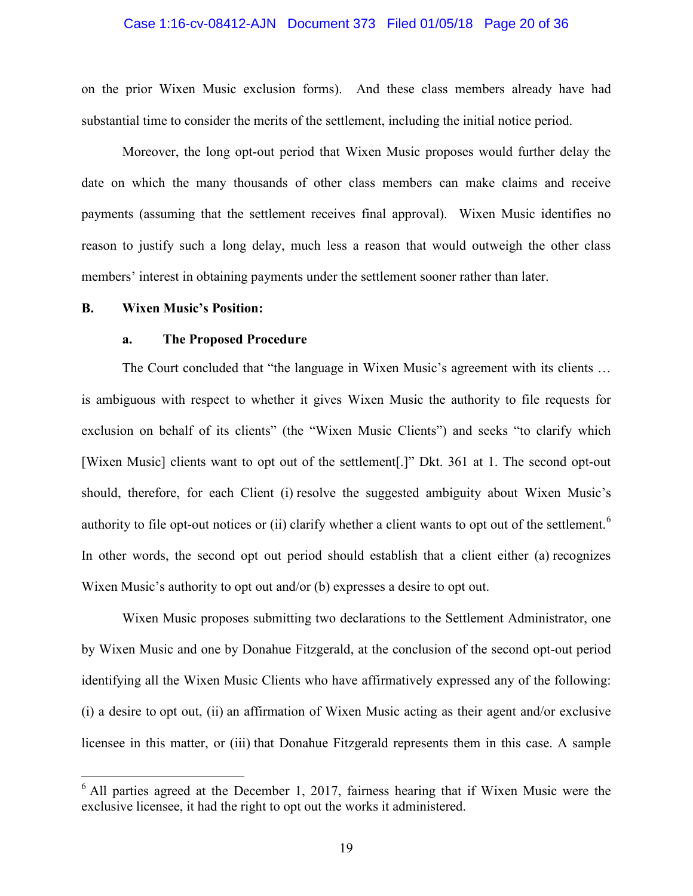# Case 1:16-cv-08412-AJN Document 373 Filed 01/05/18 Page 20 of 36

on the prior Wixen Music exclusion forms). And these class members already have had substantial time to consider the merits of the settlement, including the initial notice period.

Moreover, the long opt-out period that Wixen Music proposes would further delay the date on which the many thousands of other class members can make claims and receive payments (assuming that the settlement receives final approval). Wixen Music identifies no reason to justify such a long delay, much less a reason that would outweigh the other class members' interest in obtaining payments under the settlement sooner rather than later.

#### **B. Wixen Music's Position:**

 $\overline{a}$ 

### **a. The Proposed Procedure**

The Court concluded that "the language in Wixen Music's agreement with its clients … is ambiguous with respect to whether it gives Wixen Music the authority to file requests for exclusion on behalf of its clients" (the "Wixen Music Clients") and seeks "to clarify which [Wixen Music] clients want to opt out of the settlement[.]" Dkt. 361 at 1. The second opt-out should, therefore, for each Client (i) resolve the suggested ambiguity about Wixen Music's authority to file opt-out notices or (ii) clarify whether a client wants to opt out of the settlement.<sup>[6](#page-19-0)</sup> In other words, the second opt out period should establish that a client either (a) recognizes Wixen Music's authority to opt out and/or (b) expresses a desire to opt out.

Wixen Music proposes submitting two declarations to the Settlement Administrator, one by Wixen Music and one by Donahue Fitzgerald, at the conclusion of the second opt-out period identifying all the Wixen Music Clients who have affirmatively expressed any of the following: (i) a desire to opt out, (ii) an affirmation of Wixen Music acting as their agent and/or exclusive licensee in this matter, or (iii) that Donahue Fitzgerald represents them in this case. A sample

<span id="page-19-0"></span> $6$  All parties agreed at the December 1, 2017, fairness hearing that if Wixen Music were the exclusive licensee, it had the right to opt out the works it administered.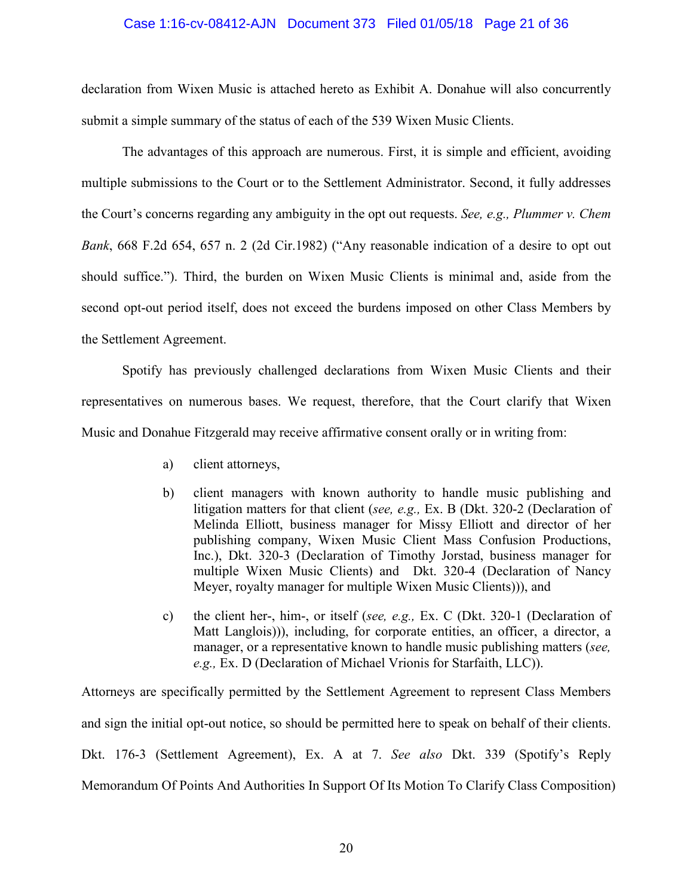### Case 1:16-cv-08412-AJN Document 373 Filed 01/05/18 Page 21 of 36

declaration from Wixen Music is attached hereto as Exhibit A. Donahue will also concurrently submit a simple summary of the status of each of the 539 Wixen Music Clients.

The advantages of this approach are numerous. First, it is simple and efficient, avoiding multiple submissions to the Court or to the Settlement Administrator. Second, it fully addresses the Court's concerns regarding any ambiguity in the opt out requests. *See, e.g., Plummer v. Chem Bank*, 668 F.2d 654, 657 n. 2 (2d Cir.1982) ("Any reasonable indication of a desire to opt out should suffice."). Third, the burden on Wixen Music Clients is minimal and, aside from the second opt-out period itself, does not exceed the burdens imposed on other Class Members by the Settlement Agreement.

Spotify has previously challenged declarations from Wixen Music Clients and their representatives on numerous bases. We request, therefore, that the Court clarify that Wixen Music and Donahue Fitzgerald may receive affirmative consent orally or in writing from:

- a) client attorneys,
- b) client managers with known authority to handle music publishing and litigation matters for that client (*see, e.g.,* Ex. B (Dkt. 320-2 (Declaration of Melinda Elliott, business manager for Missy Elliott and director of her publishing company, Wixen Music Client Mass Confusion Productions, Inc.), Dkt. 320-3 (Declaration of Timothy Jorstad, business manager for multiple Wixen Music Clients) and Dkt. 320-4 (Declaration of Nancy Meyer, royalty manager for multiple Wixen Music Clients))), and
- c) the client her-, him-, or itself (*see, e.g.,* Ex. C (Dkt. 320-1 (Declaration of Matt Langlois))), including, for corporate entities, an officer, a director, a manager, or a representative known to handle music publishing matters (*see, e.g.,* Ex. D (Declaration of Michael Vrionis for Starfaith, LLC)).

Attorneys are specifically permitted by the Settlement Agreement to represent Class Members and sign the initial opt-out notice, so should be permitted here to speak on behalf of their clients. Dkt. 176-3 (Settlement Agreement), Ex. A at 7. *See also* Dkt. 339 (Spotify's Reply Memorandum Of Points And Authorities In Support Of Its Motion To Clarify Class Composition)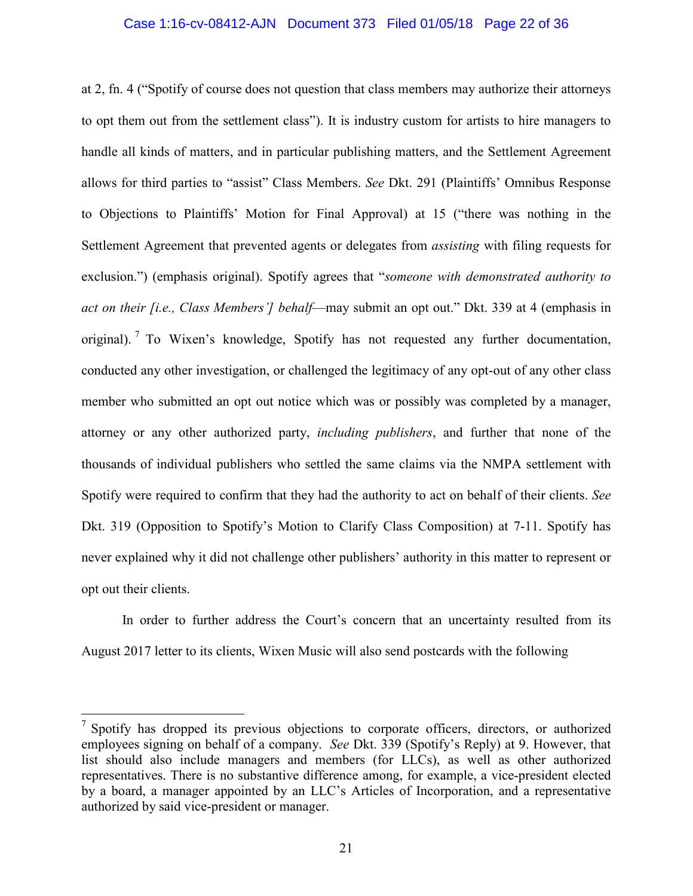### Case 1:16-cv-08412-AJN Document 373 Filed 01/05/18 Page 22 of 36

at 2, fn. 4 ("Spotify of course does not question that class members may authorize their attorneys to opt them out from the settlement class"). It is industry custom for artists to hire managers to handle all kinds of matters, and in particular publishing matters, and the Settlement Agreement allows for third parties to "assist" Class Members. *See* Dkt. 291 (Plaintiffs' Omnibus Response to Objections to Plaintiffs' Motion for Final Approval) at 15 ("there was nothing in the Settlement Agreement that prevented agents or delegates from *assisting* with filing requests for exclusion.") (emphasis original). Spotify agrees that "*someone with demonstrated authority to act on their [i.e., Class Members'] behalf*—may submit an opt out." Dkt. 339 at 4 (emphasis in original). [7](#page-21-0) To Wixen's knowledge, Spotify has not requested any further documentation, conducted any other investigation, or challenged the legitimacy of any opt-out of any other class member who submitted an opt out notice which was or possibly was completed by a manager, attorney or any other authorized party, *including publishers*, and further that none of the thousands of individual publishers who settled the same claims via the NMPA settlement with Spotify were required to confirm that they had the authority to act on behalf of their clients. *See*  Dkt. 319 (Opposition to Spotify's Motion to Clarify Class Composition) at 7-11. Spotify has never explained why it did not challenge other publishers' authority in this matter to represent or opt out their clients.

In order to further address the Court's concern that an uncertainty resulted from its August 2017 letter to its clients, Wixen Music will also send postcards with the following

 $\overline{a}$ 

<span id="page-21-0"></span> $7$  Spotify has dropped its previous objections to corporate officers, directors, or authorized employees signing on behalf of a company. *See* Dkt. 339 (Spotify's Reply) at 9. However, that list should also include managers and members (for LLCs), as well as other authorized representatives. There is no substantive difference among, for example, a vice-president elected by a board, a manager appointed by an LLC's Articles of Incorporation, and a representative authorized by said vice-president or manager.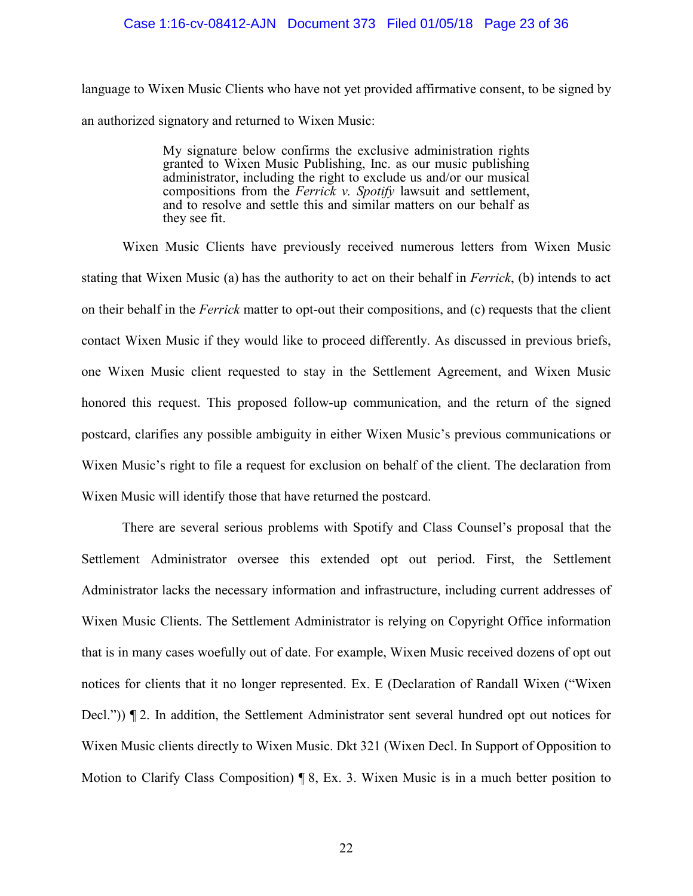## Case 1:16-cv-08412-AJN Document 373 Filed 01/05/18 Page 23 of 36

language to Wixen Music Clients who have not yet provided affirmative consent, to be signed by an authorized signatory and returned to Wixen Music:

> My signature below confirms the exclusive administration rights granted to Wixen Music Publishing, Inc. as our music publishing administrator, including the right to exclude us and/or our musical compositions from the *Ferrick v. Spotify* lawsuit and settlement, and to resolve and settle this and similar matters on our behalf as they see fit.

Wixen Music Clients have previously received numerous letters from Wixen Music stating that Wixen Music (a) has the authority to act on their behalf in *Ferrick*, (b) intends to act on their behalf in the *Ferrick* matter to opt-out their compositions, and (c) requests that the client contact Wixen Music if they would like to proceed differently. As discussed in previous briefs, one Wixen Music client requested to stay in the Settlement Agreement, and Wixen Music honored this request. This proposed follow-up communication, and the return of the signed postcard, clarifies any possible ambiguity in either Wixen Music's previous communications or Wixen Music's right to file a request for exclusion on behalf of the client. The declaration from Wixen Music will identify those that have returned the postcard.

There are several serious problems with Spotify and Class Counsel's proposal that the Settlement Administrator oversee this extended opt out period. First, the Settlement Administrator lacks the necessary information and infrastructure, including current addresses of Wixen Music Clients. The Settlement Administrator is relying on Copyright Office information that is in many cases woefully out of date. For example, Wixen Music received dozens of opt out notices for clients that it no longer represented. Ex. E (Declaration of Randall Wixen ("Wixen Decl.")) ¶ 2. In addition, the Settlement Administrator sent several hundred opt out notices for Wixen Music clients directly to Wixen Music. Dkt 321 (Wixen Decl. In Support of Opposition to Motion to Clarify Class Composition) ¶ 8, Ex. 3. Wixen Music is in a much better position to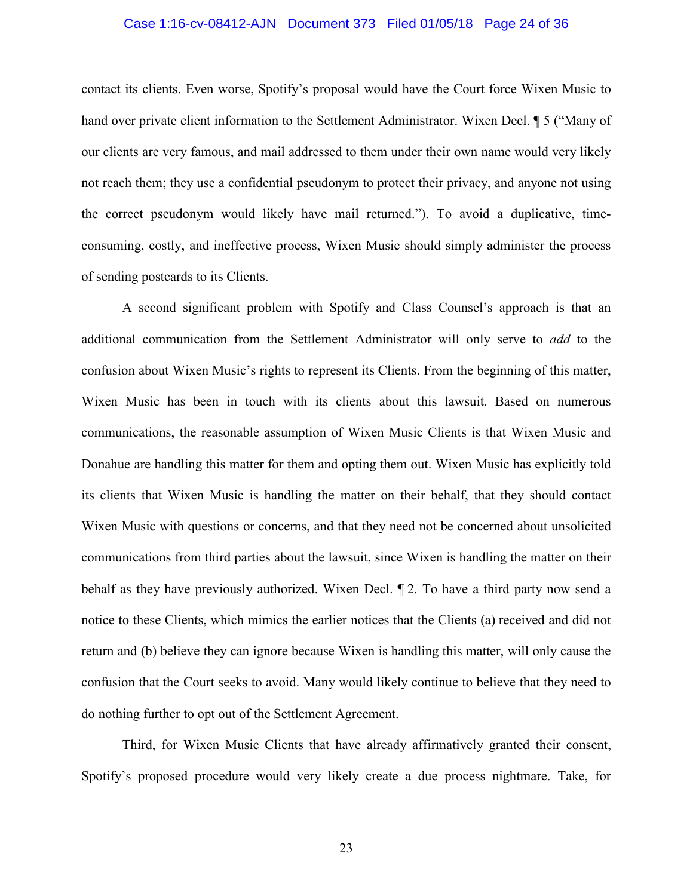# Case 1:16-cv-08412-AJN Document 373 Filed 01/05/18 Page 24 of 36

contact its clients. Even worse, Spotify's proposal would have the Court force Wixen Music to hand over private client information to the Settlement Administrator. Wixen Decl. ¶ 5 ("Many of our clients are very famous, and mail addressed to them under their own name would very likely not reach them; they use a confidential pseudonym to protect their privacy, and anyone not using the correct pseudonym would likely have mail returned."). To avoid a duplicative, timeconsuming, costly, and ineffective process, Wixen Music should simply administer the process of sending postcards to its Clients.

A second significant problem with Spotify and Class Counsel's approach is that an additional communication from the Settlement Administrator will only serve to *add* to the confusion about Wixen Music's rights to represent its Clients. From the beginning of this matter, Wixen Music has been in touch with its clients about this lawsuit. Based on numerous communications, the reasonable assumption of Wixen Music Clients is that Wixen Music and Donahue are handling this matter for them and opting them out. Wixen Music has explicitly told its clients that Wixen Music is handling the matter on their behalf, that they should contact Wixen Music with questions or concerns, and that they need not be concerned about unsolicited communications from third parties about the lawsuit, since Wixen is handling the matter on their behalf as they have previously authorized. Wixen Decl. ¶ 2. To have a third party now send a notice to these Clients, which mimics the earlier notices that the Clients (a) received and did not return and (b) believe they can ignore because Wixen is handling this matter, will only cause the confusion that the Court seeks to avoid. Many would likely continue to believe that they need to do nothing further to opt out of the Settlement Agreement.

Third, for Wixen Music Clients that have already affirmatively granted their consent, Spotify's proposed procedure would very likely create a due process nightmare. Take, for

23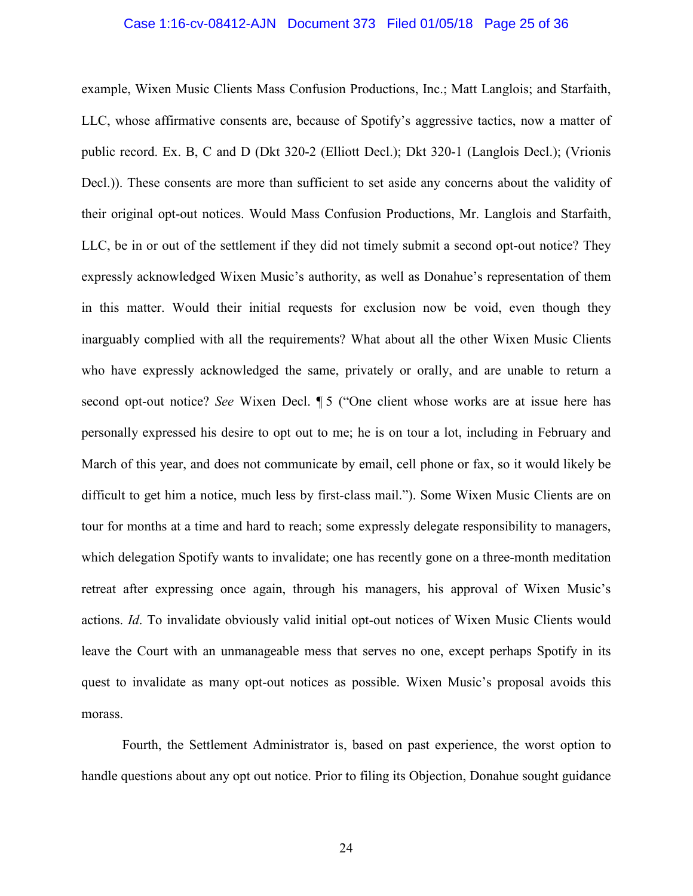### Case 1:16-cv-08412-AJN Document 373 Filed 01/05/18 Page 25 of 36

example, Wixen Music Clients Mass Confusion Productions, Inc.; Matt Langlois; and Starfaith, LLC, whose affirmative consents are, because of Spotify's aggressive tactics, now a matter of public record. Ex. B, C and D (Dkt 320-2 (Elliott Decl.); Dkt 320-1 (Langlois Decl.); (Vrionis Decl.)). These consents are more than sufficient to set aside any concerns about the validity of their original opt-out notices. Would Mass Confusion Productions, Mr. Langlois and Starfaith, LLC, be in or out of the settlement if they did not timely submit a second opt-out notice? They expressly acknowledged Wixen Music's authority, as well as Donahue's representation of them in this matter. Would their initial requests for exclusion now be void, even though they inarguably complied with all the requirements? What about all the other Wixen Music Clients who have expressly acknowledged the same, privately or orally, and are unable to return a second opt-out notice? *See* Wixen Decl. ¶ 5 ("One client whose works are at issue here has personally expressed his desire to opt out to me; he is on tour a lot, including in February and March of this year, and does not communicate by email, cell phone or fax, so it would likely be difficult to get him a notice, much less by first-class mail."). Some Wixen Music Clients are on tour for months at a time and hard to reach; some expressly delegate responsibility to managers, which delegation Spotify wants to invalidate; one has recently gone on a three-month meditation retreat after expressing once again, through his managers, his approval of Wixen Music's actions. *Id*. To invalidate obviously valid initial opt-out notices of Wixen Music Clients would leave the Court with an unmanageable mess that serves no one, except perhaps Spotify in its quest to invalidate as many opt-out notices as possible. Wixen Music's proposal avoids this morass.

Fourth, the Settlement Administrator is, based on past experience, the worst option to handle questions about any opt out notice. Prior to filing its Objection, Donahue sought guidance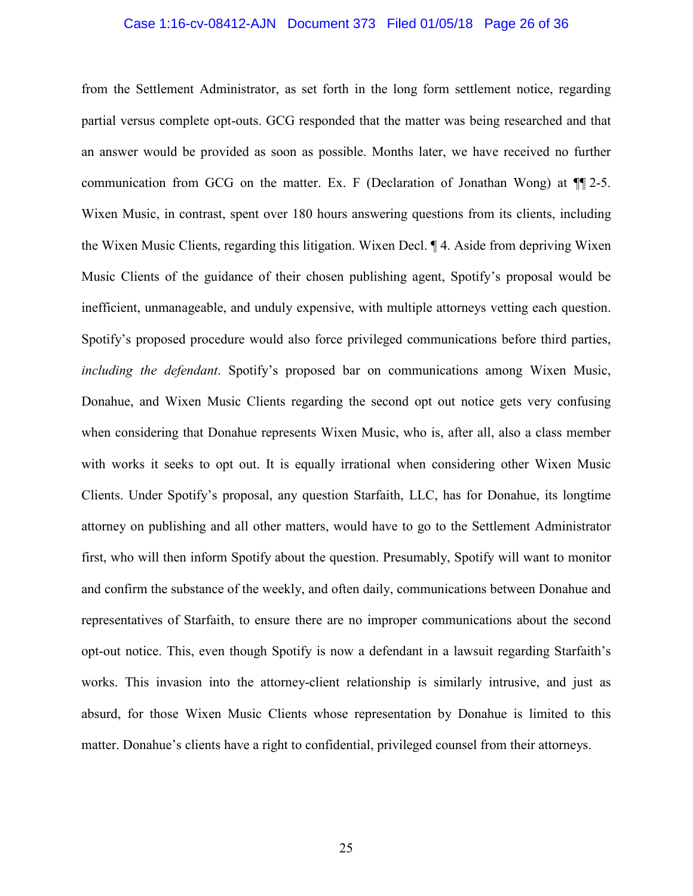### Case 1:16-cv-08412-AJN Document 373 Filed 01/05/18 Page 26 of 36

from the Settlement Administrator, as set forth in the long form settlement notice, regarding partial versus complete opt-outs. GCG responded that the matter was being researched and that an answer would be provided as soon as possible. Months later, we have received no further communication from GCG on the matter. Ex. F (Declaration of Jonathan Wong) at ¶¶ 2-5. Wixen Music, in contrast, spent over 180 hours answering questions from its clients, including the Wixen Music Clients, regarding this litigation. Wixen Decl. ¶ 4. Aside from depriving Wixen Music Clients of the guidance of their chosen publishing agent, Spotify's proposal would be inefficient, unmanageable, and unduly expensive, with multiple attorneys vetting each question. Spotify's proposed procedure would also force privileged communications before third parties, *including the defendant*. Spotify's proposed bar on communications among Wixen Music, Donahue, and Wixen Music Clients regarding the second opt out notice gets very confusing when considering that Donahue represents Wixen Music, who is, after all, also a class member with works it seeks to opt out. It is equally irrational when considering other Wixen Music Clients. Under Spotify's proposal, any question Starfaith, LLC, has for Donahue, its longtime attorney on publishing and all other matters, would have to go to the Settlement Administrator first, who will then inform Spotify about the question. Presumably, Spotify will want to monitor and confirm the substance of the weekly, and often daily, communications between Donahue and representatives of Starfaith, to ensure there are no improper communications about the second opt-out notice. This, even though Spotify is now a defendant in a lawsuit regarding Starfaith's works. This invasion into the attorney-client relationship is similarly intrusive, and just as absurd, for those Wixen Music Clients whose representation by Donahue is limited to this matter. Donahue's clients have a right to confidential, privileged counsel from their attorneys.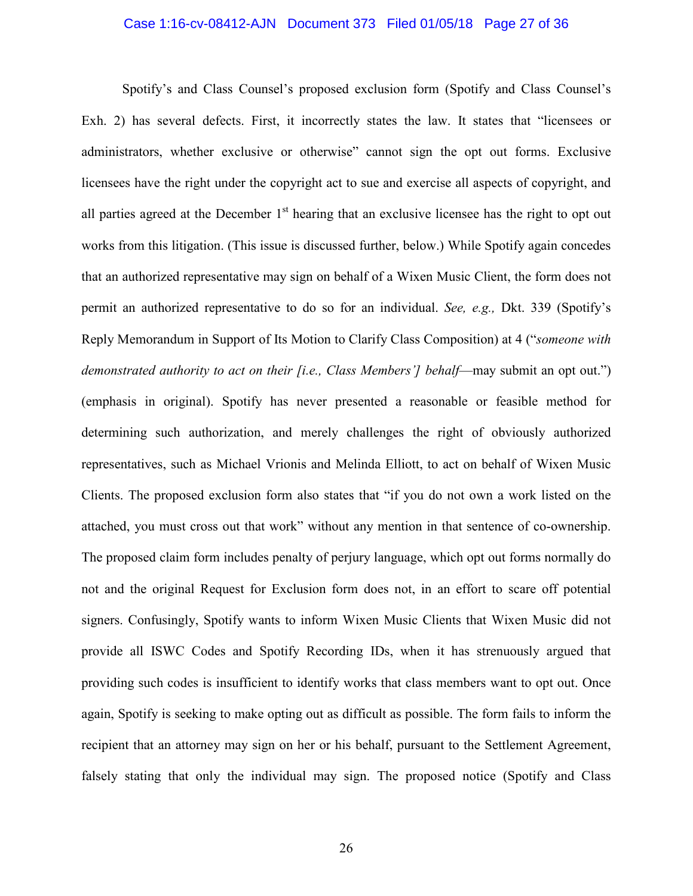### Case 1:16-cv-08412-AJN Document 373 Filed 01/05/18 Page 27 of 36

Spotify's and Class Counsel's proposed exclusion form (Spotify and Class Counsel's Exh. 2) has several defects. First, it incorrectly states the law. It states that "licensees or administrators, whether exclusive or otherwise" cannot sign the opt out forms. Exclusive licensees have the right under the copyright act to sue and exercise all aspects of copyright, and all parties agreed at the December  $1<sup>st</sup>$  hearing that an exclusive licensee has the right to opt out works from this litigation. (This issue is discussed further, below.) While Spotify again concedes that an authorized representative may sign on behalf of a Wixen Music Client, the form does not permit an authorized representative to do so for an individual. *See, e.g.,* Dkt. 339 (Spotify's Reply Memorandum in Support of Its Motion to Clarify Class Composition) at 4 ("*someone with demonstrated authority to act on their [i.e., Class Members'] behalf—may submit an opt out."*) (emphasis in original). Spotify has never presented a reasonable or feasible method for determining such authorization, and merely challenges the right of obviously authorized representatives, such as Michael Vrionis and Melinda Elliott, to act on behalf of Wixen Music Clients. The proposed exclusion form also states that "if you do not own a work listed on the attached, you must cross out that work" without any mention in that sentence of co-ownership. The proposed claim form includes penalty of perjury language, which opt out forms normally do not and the original Request for Exclusion form does not, in an effort to scare off potential signers. Confusingly, Spotify wants to inform Wixen Music Clients that Wixen Music did not provide all ISWC Codes and Spotify Recording IDs, when it has strenuously argued that providing such codes is insufficient to identify works that class members want to opt out. Once again, Spotify is seeking to make opting out as difficult as possible. The form fails to inform the recipient that an attorney may sign on her or his behalf, pursuant to the Settlement Agreement, falsely stating that only the individual may sign. The proposed notice (Spotify and Class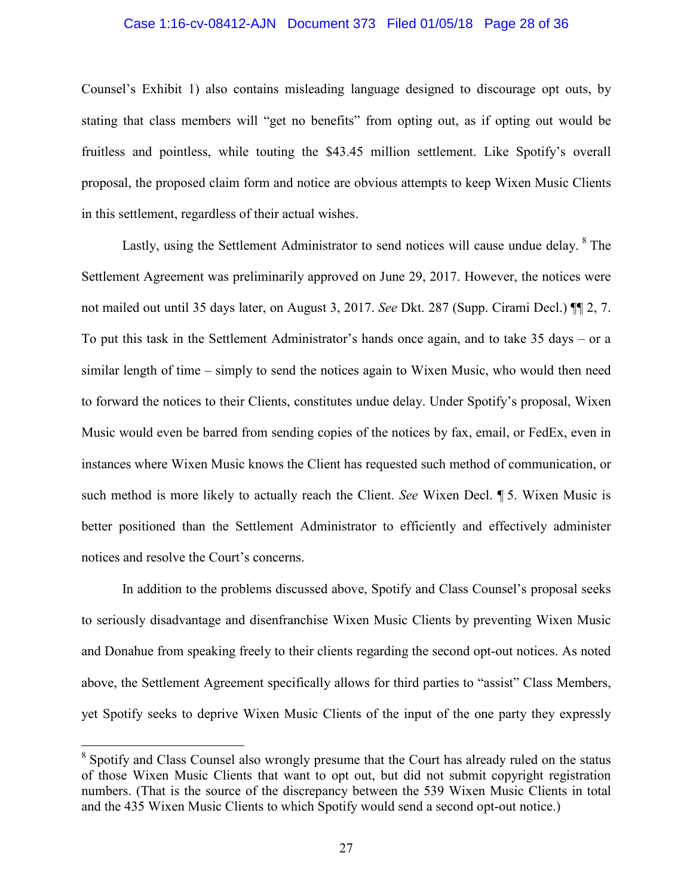### Case 1:16-cv-08412-AJN Document 373 Filed 01/05/18 Page 28 of 36

Counsel's Exhibit 1) also contains misleading language designed to discourage opt outs, by stating that class members will "get no benefits" from opting out, as if opting out would be fruitless and pointless, while touting the \$43.45 million settlement. Like Spotify's overall proposal, the proposed claim form and notice are obvious attempts to keep Wixen Music Clients in this settlement, regardless of their actual wishes.

Lastly, using the Settlement Administrator to send notices will cause undue delay. <sup>[8](#page-27-0)</sup> The Settlement Agreement was preliminarily approved on June 29, 2017. However, the notices were not mailed out until 35 days later, on August 3, 2017. *See* Dkt. 287 (Supp. Cirami Decl.) ¶¶ 2, 7. To put this task in the Settlement Administrator's hands once again, and to take 35 days – or a similar length of time – simply to send the notices again to Wixen Music, who would then need to forward the notices to their Clients, constitutes undue delay. Under Spotify's proposal, Wixen Music would even be barred from sending copies of the notices by fax, email, or FedEx, even in instances where Wixen Music knows the Client has requested such method of communication, or such method is more likely to actually reach the Client. *See* Wixen Decl. ¶ 5. Wixen Music is better positioned than the Settlement Administrator to efficiently and effectively administer notices and resolve the Court's concerns.

In addition to the problems discussed above, Spotify and Class Counsel's proposal seeks to seriously disadvantage and disenfranchise Wixen Music Clients by preventing Wixen Music and Donahue from speaking freely to their clients regarding the second opt-out notices. As noted above, the Settlement Agreement specifically allows for third parties to "assist" Class Members, yet Spotify seeks to deprive Wixen Music Clients of the input of the one party they expressly

 $\overline{a}$ 

<span id="page-27-0"></span><sup>&</sup>lt;sup>8</sup> Spotify and Class Counsel also wrongly presume that the Court has already ruled on the status of those Wixen Music Clients that want to opt out, but did not submit copyright registration numbers. (That is the source of the discrepancy between the 539 Wixen Music Clients in total and the 435 Wixen Music Clients to which Spotify would send a second opt-out notice.)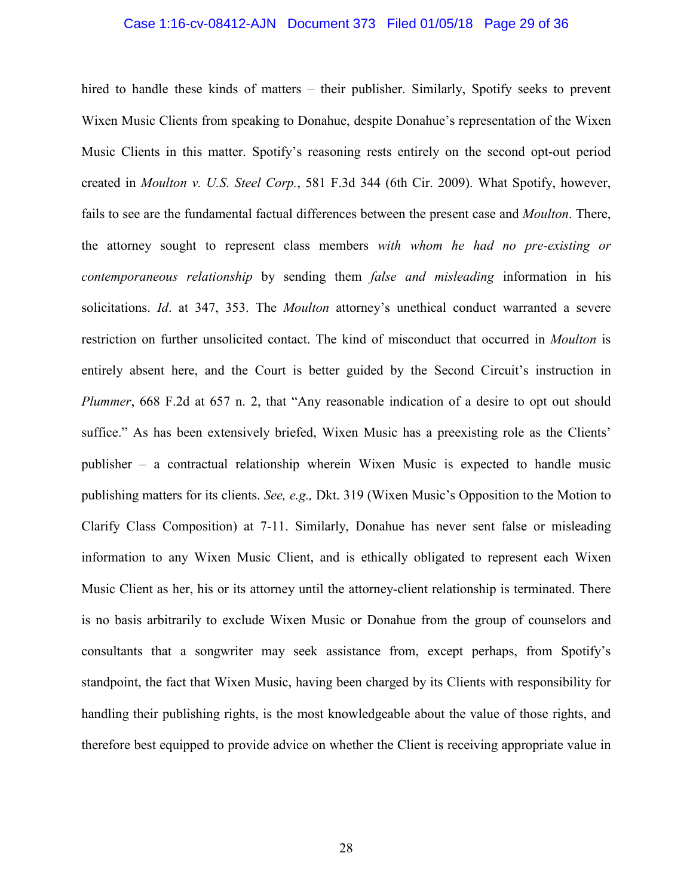### Case 1:16-cv-08412-AJN Document 373 Filed 01/05/18 Page 29 of 36

hired to handle these kinds of matters – their publisher. Similarly, Spotify seeks to prevent Wixen Music Clients from speaking to Donahue, despite Donahue's representation of the Wixen Music Clients in this matter. Spotify's reasoning rests entirely on the second opt-out period created in *Moulton v. U.S. Steel Corp.*, 581 F.3d 344 (6th Cir. 2009). What Spotify, however, fails to see are the fundamental factual differences between the present case and *Moulton*. There, the attorney sought to represent class members *with whom he had no pre-existing or contemporaneous relationship* by sending them *false and misleading* information in his solicitations. *Id*. at 347, 353. The *Moulton* attorney's unethical conduct warranted a severe restriction on further unsolicited contact. The kind of misconduct that occurred in *Moulton* is entirely absent here, and the Court is better guided by the Second Circuit's instruction in *Plummer*, 668 F.2d at 657 n. 2, that "Any reasonable indication of a desire to opt out should suffice." As has been extensively briefed, Wixen Music has a preexisting role as the Clients' publisher – a contractual relationship wherein Wixen Music is expected to handle music publishing matters for its clients. *See, e.g.,* Dkt. 319 (Wixen Music's Opposition to the Motion to Clarify Class Composition) at 7-11. Similarly, Donahue has never sent false or misleading information to any Wixen Music Client, and is ethically obligated to represent each Wixen Music Client as her, his or its attorney until the attorney-client relationship is terminated. There is no basis arbitrarily to exclude Wixen Music or Donahue from the group of counselors and consultants that a songwriter may seek assistance from, except perhaps, from Spotify's standpoint, the fact that Wixen Music, having been charged by its Clients with responsibility for handling their publishing rights, is the most knowledgeable about the value of those rights, and therefore best equipped to provide advice on whether the Client is receiving appropriate value in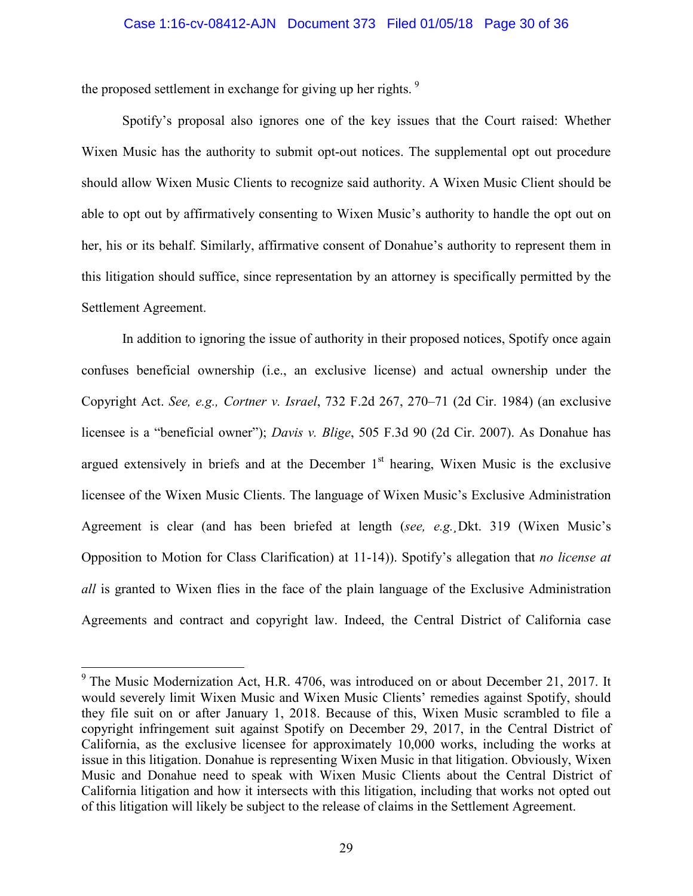### Case 1:16-cv-08412-AJN Document 373 Filed 01/05/18 Page 30 of 36

the proposed settlement in exchange for giving up her rights.<sup>[9](#page-29-0)</sup>

Spotify's proposal also ignores one of the key issues that the Court raised: Whether Wixen Music has the authority to submit opt-out notices. The supplemental opt out procedure should allow Wixen Music Clients to recognize said authority. A Wixen Music Client should be able to opt out by affirmatively consenting to Wixen Music's authority to handle the opt out on her, his or its behalf. Similarly, affirmative consent of Donahue's authority to represent them in this litigation should suffice, since representation by an attorney is specifically permitted by the Settlement Agreement.

In addition to ignoring the issue of authority in their proposed notices, Spotify once again confuses beneficial ownership (i.e., an exclusive license) and actual ownership under the Copyright Act. *See, e.g., Cortner v. Israel*, 732 F.2d 267, 270–71 (2d Cir. 1984) (an exclusive licensee is a "beneficial owner"); *Davis v. Blige*, 505 F.3d 90 (2d Cir. 2007). As Donahue has argued extensively in briefs and at the December  $1<sup>st</sup>$  hearing, Wixen Music is the exclusive licensee of the Wixen Music Clients. The language of Wixen Music's Exclusive Administration Agreement is clear (and has been briefed at length (*see, e.g.¸*Dkt. 319 (Wixen Music's Opposition to Motion for Class Clarification) at 11-14)). Spotify's allegation that *no license at all* is granted to Wixen flies in the face of the plain language of the Exclusive Administration Agreements and contract and copyright law. Indeed, the Central District of California case

 $\overline{a}$ 

<span id="page-29-0"></span> $9$ <sup>9</sup> The Music Modernization Act, H.R. 4706, was introduced on or about December 21, 2017. It would severely limit Wixen Music and Wixen Music Clients' remedies against Spotify, should they file suit on or after January 1, 2018. Because of this, Wixen Music scrambled to file a copyright infringement suit against Spotify on December 29, 2017, in the Central District of California, as the exclusive licensee for approximately 10,000 works, including the works at issue in this litigation. Donahue is representing Wixen Music in that litigation. Obviously, Wixen Music and Donahue need to speak with Wixen Music Clients about the Central District of California litigation and how it intersects with this litigation, including that works not opted out of this litigation will likely be subject to the release of claims in the Settlement Agreement.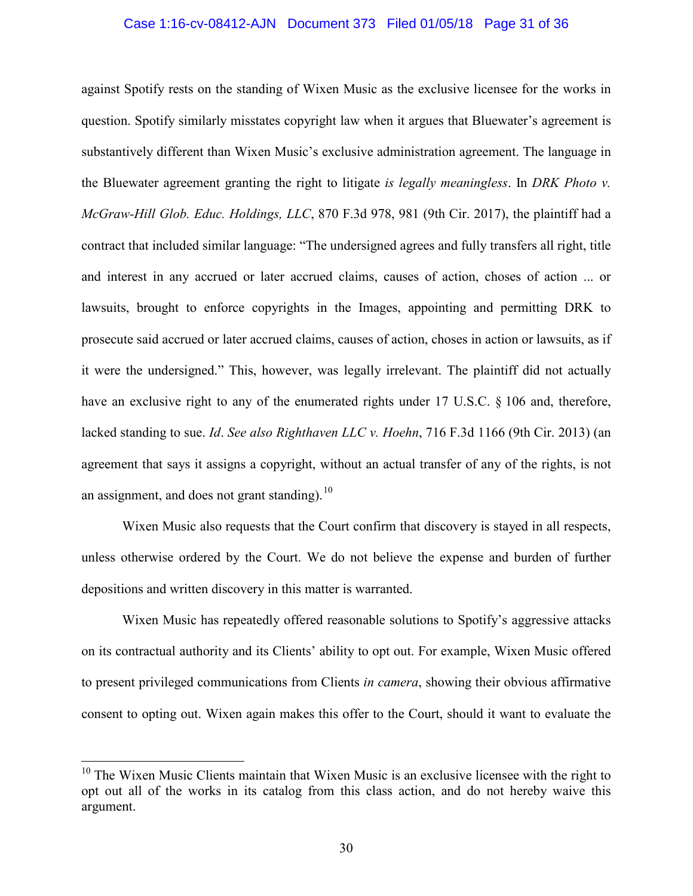### Case 1:16-cv-08412-AJN Document 373 Filed 01/05/18 Page 31 of 36

against Spotify rests on the standing of Wixen Music as the exclusive licensee for the works in question. Spotify similarly misstates copyright law when it argues that Bluewater's agreement is substantively different than Wixen Music's exclusive administration agreement. The language in the Bluewater agreement granting the right to litigate *is legally meaningless*. In *DRK Photo v. McGraw-Hill Glob. Educ. Holdings, LLC*, 870 F.3d 978, 981 (9th Cir. 2017), the plaintiff had a contract that included similar language: "The undersigned agrees and fully transfers all right, title and interest in any accrued or later accrued claims, causes of action, choses of action ... or lawsuits, brought to enforce copyrights in the Images, appointing and permitting DRK to prosecute said accrued or later accrued claims, causes of action, choses in action or lawsuits, as if it were the undersigned." This, however, was legally irrelevant. The plaintiff did not actually have an exclusive right to any of the enumerated rights under 17 U.S.C. § 106 and, therefore, lacked standing to sue. *Id*. *See also Righthaven LLC v. Hoehn*, 716 F.3d 1166 (9th Cir. 2013) (an agreement that says it assigns a copyright, without an actual transfer of any of the rights, is not an assignment, and does not grant standing). $10$ 

Wixen Music also requests that the Court confirm that discovery is stayed in all respects, unless otherwise ordered by the Court. We do not believe the expense and burden of further depositions and written discovery in this matter is warranted.

Wixen Music has repeatedly offered reasonable solutions to Spotify's aggressive attacks on its contractual authority and its Clients' ability to opt out. For example, Wixen Music offered to present privileged communications from Clients *in camera*, showing their obvious affirmative consent to opting out. Wixen again makes this offer to the Court, should it want to evaluate the

 $\overline{a}$ 

<span id="page-30-0"></span> $10$  The Wixen Music Clients maintain that Wixen Music is an exclusive licensee with the right to opt out all of the works in its catalog from this class action, and do not hereby waive this argument.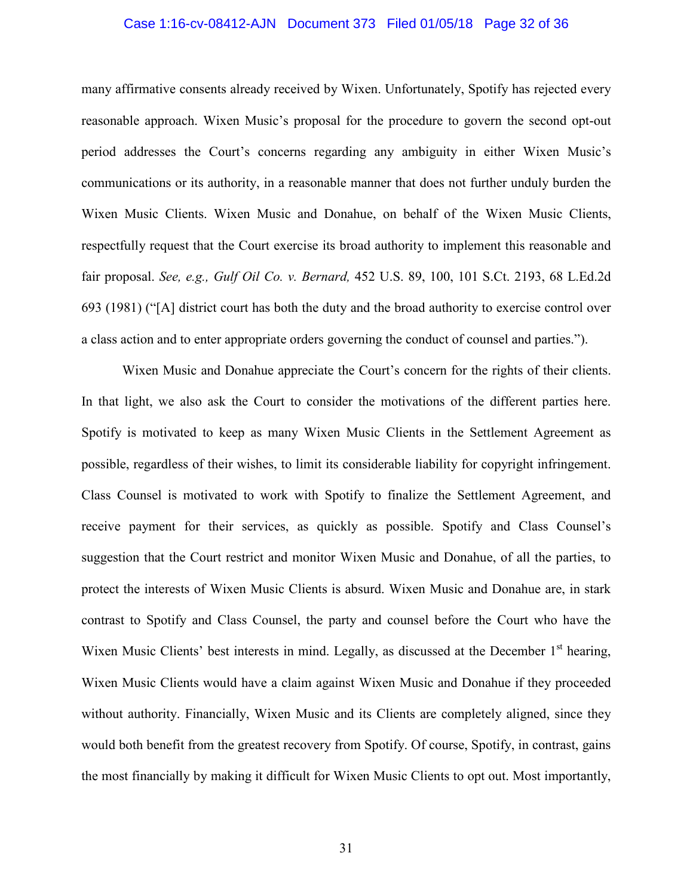### Case 1:16-cv-08412-AJN Document 373 Filed 01/05/18 Page 32 of 36

many affirmative consents already received by Wixen. Unfortunately, Spotify has rejected every reasonable approach. Wixen Music's proposal for the procedure to govern the second opt-out period addresses the Court's concerns regarding any ambiguity in either Wixen Music's communications or its authority, in a reasonable manner that does not further unduly burden the Wixen Music Clients. Wixen Music and Donahue, on behalf of the Wixen Music Clients, respectfully request that the Court exercise its broad authority to implement this reasonable and fair proposal. *See, e.g., Gulf Oil Co. v. Bernard,* 452 U.S. 89, 100, 101 S.Ct. 2193, 68 L.Ed.2d 693 (1981) ("[A] district court has both the duty and the broad authority to exercise control over a class action and to enter appropriate orders governing the conduct of counsel and parties.").

Wixen Music and Donahue appreciate the Court's concern for the rights of their clients. In that light, we also ask the Court to consider the motivations of the different parties here. Spotify is motivated to keep as many Wixen Music Clients in the Settlement Agreement as possible, regardless of their wishes, to limit its considerable liability for copyright infringement. Class Counsel is motivated to work with Spotify to finalize the Settlement Agreement, and receive payment for their services, as quickly as possible. Spotify and Class Counsel's suggestion that the Court restrict and monitor Wixen Music and Donahue, of all the parties, to protect the interests of Wixen Music Clients is absurd. Wixen Music and Donahue are, in stark contrast to Spotify and Class Counsel, the party and counsel before the Court who have the Wixen Music Clients' best interests in mind. Legally, as discussed at the December  $1<sup>st</sup>$  hearing, Wixen Music Clients would have a claim against Wixen Music and Donahue if they proceeded without authority. Financially, Wixen Music and its Clients are completely aligned, since they would both benefit from the greatest recovery from Spotify. Of course, Spotify, in contrast, gains the most financially by making it difficult for Wixen Music Clients to opt out. Most importantly,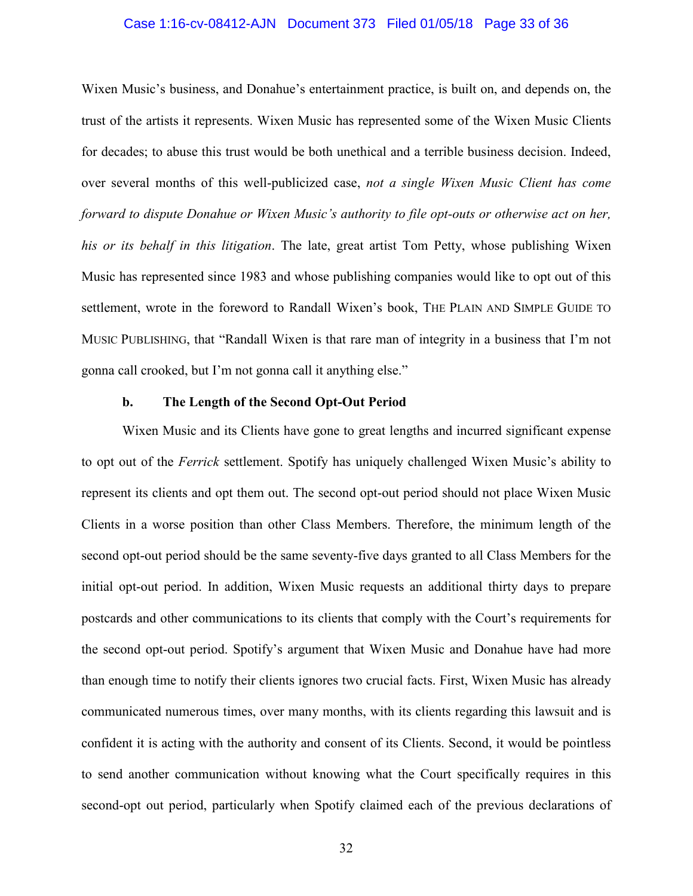### Case 1:16-cv-08412-AJN Document 373 Filed 01/05/18 Page 33 of 36

Wixen Music's business, and Donahue's entertainment practice, is built on, and depends on, the trust of the artists it represents. Wixen Music has represented some of the Wixen Music Clients for decades; to abuse this trust would be both unethical and a terrible business decision. Indeed, over several months of this well-publicized case, *not a single Wixen Music Client has come forward to dispute Donahue or Wixen Music's authority to file opt-outs or otherwise act on her, his or its behalf in this litigation*. The late, great artist Tom Petty, whose publishing Wixen Music has represented since 1983 and whose publishing companies would like to opt out of this settlement, wrote in the foreword to Randall Wixen's book, THE PLAIN AND SIMPLE GUIDE TO MUSIC PUBLISHING, that "Randall Wixen is that rare man of integrity in a business that I'm not gonna call crooked, but I'm not gonna call it anything else."

### **b. The Length of the Second Opt-Out Period**

Wixen Music and its Clients have gone to great lengths and incurred significant expense to opt out of the *Ferrick* settlement. Spotify has uniquely challenged Wixen Music's ability to represent its clients and opt them out. The second opt-out period should not place Wixen Music Clients in a worse position than other Class Members. Therefore, the minimum length of the second opt-out period should be the same seventy-five days granted to all Class Members for the initial opt-out period. In addition, Wixen Music requests an additional thirty days to prepare postcards and other communications to its clients that comply with the Court's requirements for the second opt-out period. Spotify's argument that Wixen Music and Donahue have had more than enough time to notify their clients ignores two crucial facts. First, Wixen Music has already communicated numerous times, over many months, with its clients regarding this lawsuit and is confident it is acting with the authority and consent of its Clients. Second, it would be pointless to send another communication without knowing what the Court specifically requires in this second-opt out period, particularly when Spotify claimed each of the previous declarations of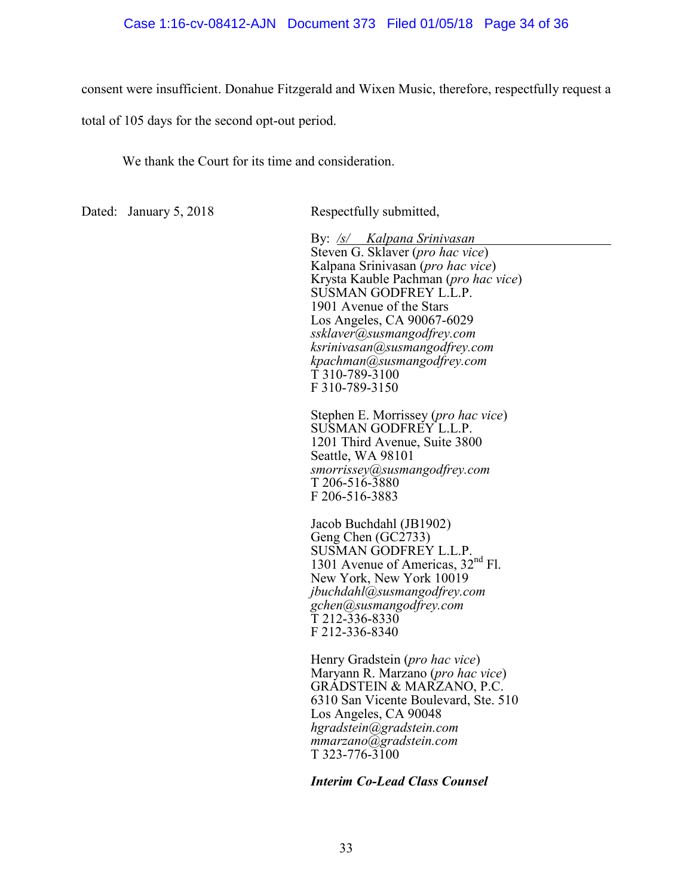### Case 1:16-cv-08412-AJN Document 373 Filed 01/05/18 Page 34 of 36

consent were insufficient. Donahue Fitzgerald and Wixen Music, therefore, respectfully request a

total of 105 days for the second opt-out period.

We thank the Court for its time and consideration.

Dated: January 5, 2018 Respectfully submitted,

By: */s/ Kalpana Srinivasan*  Steven G. Sklaver (*pro hac vice*) Kalpana Srinivasan (*pro hac vice*) Krysta Kauble Pachman (*pro hac vice*) SUSMAN GODFREY L.L.P. 1901 Avenue of the Stars Los Angeles, CA 90067-6029 *ssklaver@susmangodfrey.com ksrinivasan@susmangodfrey.com kpachman@susmangodfrey.com*  T 310-789-3100 F 310-789-3150

Stephen E. Morrissey (*pro hac vice*) SUSMAN GODFREY L.L.P. 1201 Third Avenue, Suite 3800 Seattle, WA 98101 *smorrissey@susmangodfrey.com*  T 206-516-3880 F 206-516-3883

Jacob Buchdahl (JB1902) Geng Chen (GC2733) SUSMAN GODFREY L.L.P. 1301 Avenue of Americas. 32<sup>nd</sup> Fl. New York, New York 10019 *jbuchdahl@susmangodfrey.com gchen@susmangodfrey.com*   $\bar{T}$  212-336-8330 F 212-336-8340

Henry Gradstein (*pro hac vice*) Maryann R. Marzano (*pro hac vice*) GRADSTEIN & MARZANO, P.C. 6310 San Vicente Boulevard, Ste. 510 Los Angeles, CA 90048 *hgradstein@gradstein.com mmarzano@gradstein.com*  T 323-776-3100

### *Interim Co-Lead Class Counsel*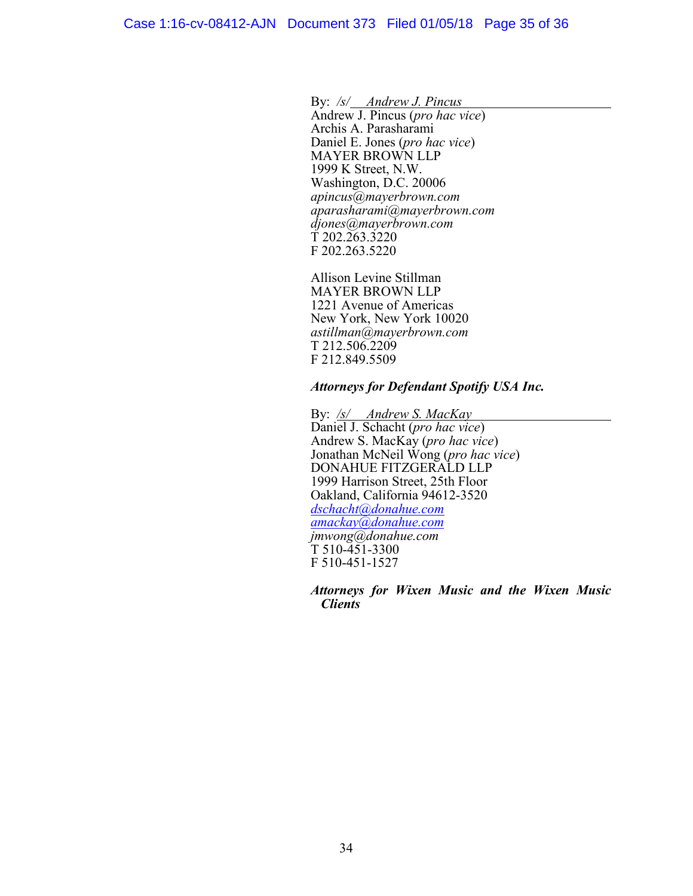By: */s/ Andrew J. Pincus* 

Andrew J. Pincus (*pro hac vice*) Archis A. Parasharami Daniel E. Jones (*pro hac vice*) MAYER BROWN LLP 1999 K Street, N.W. Washington, D.C. 20006 *apincus@mayerbrown.com aparasharami@mayerbrown.com djones@mayerbrown.com*   $\tilde{T}$  202.263.3220 F 202.263.5220

Allison Levine Stillman MAYER BROWN LLP 1221 Avenue of Americas New York, New York 10020 *astillman@mayerbrown.com*  T 212.506.2209 F 212.849.5509

### *Attorneys for Defendant Spotify USA Inc.*

By: */s/ Andrew S. MacKay* Daniel J. Schacht (*pro hac vice*) Andrew S. MacKay (*pro hac vice*) Jonathan McNeil Wong (*pro hac vice*) DONAHUE FITZGERALD LLP 1999 Harrison Street, 25th Floor Oakland, California 94612-3520 *[dschacht@donahue.com](mailto:dschacht@donahue.com) [amackay@donahue.com](mailto:amackay@donahue.com) jmwong@donahue.com*  T 510-451-3300 F 510-451-1527

*Attorneys for Wixen Music and the Wixen Music Clients*